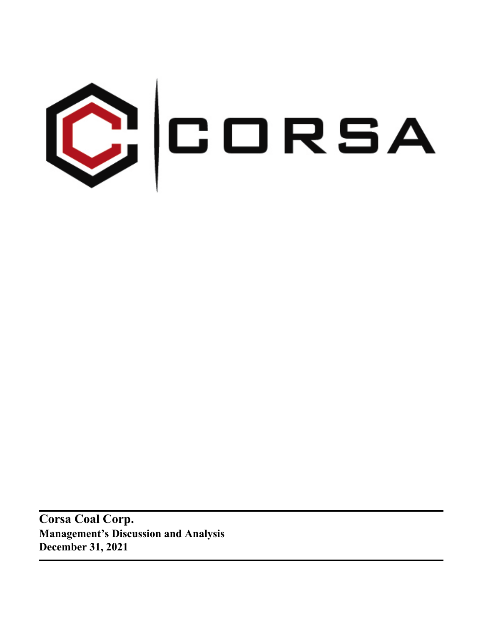

**Corsa Coal Corp. Management's Discussion and Analysis December 31, 2021**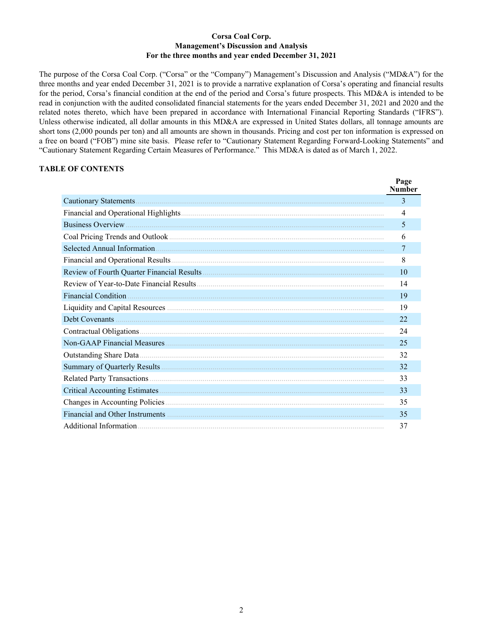## **Corsa Coal Corp. Management's Discussion and Analysis For the three months and year ended December 31, 2021**

The purpose of the Corsa Coal Corp. ("Corsa" or the "Company") Management's Discussion and Analysis ("MD&A") for the three months and year ended December 31, 2021 is to provide a narrative explanation of Corsa's operating and financial results for the period, Corsa's financial condition at the end of the period and Corsa's future prospects. This MD&A is intended to be read in conjunction with the audited consolidated financial statements for the years ended December 31, 2021 and 2020 and the related notes thereto, which have been prepared in accordance with International Financial Reporting Standards ("IFRS"). Unless otherwise indicated, all dollar amounts in this MD&A are expressed in United States dollars, all tonnage amounts are short tons (2,000 pounds per ton) and all amounts are shown in thousands. Pricing and cost per ton information is expressed on a free on board ("FOB") mine site basis. Please refer to "Cautionary Statement Regarding Forward-Looking Statements" and "Cautionary Statement Regarding Certain Measures of Performance." This MD&A is dated as of March 1, 2022.

## **TABLE OF CONTENTS**

|                                                                                                                | Page<br><b>Number</b> |
|----------------------------------------------------------------------------------------------------------------|-----------------------|
| Cautionary Statements.                                                                                         | 3                     |
|                                                                                                                | 4                     |
|                                                                                                                | 5                     |
|                                                                                                                | 6                     |
| Selected Annual Information                                                                                    | 7                     |
|                                                                                                                | 8                     |
|                                                                                                                | 10                    |
|                                                                                                                | 14                    |
| Financial Condition <b>Material Condition</b>                                                                  | 19                    |
|                                                                                                                | 19                    |
|                                                                                                                | 22                    |
|                                                                                                                | 24                    |
|                                                                                                                | 25                    |
|                                                                                                                | 32                    |
|                                                                                                                | 32                    |
|                                                                                                                | 33                    |
|                                                                                                                | 33                    |
|                                                                                                                | 35                    |
| Financial and Other Instruments (1996) (2008) 2014 12:30 and 2014 2015 2016 2017 2018 2019 2019 2019 2019 2019 | 35                    |
|                                                                                                                | 37                    |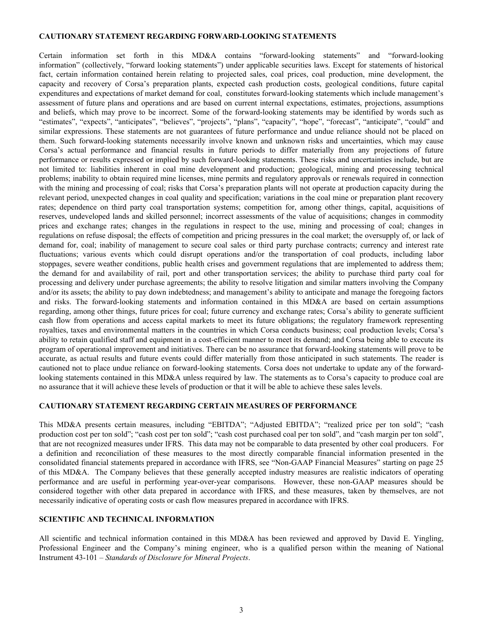#### <span id="page-2-0"></span>**CAUTIONARY STATEMENT REGARDING FORWARD-LOOKING STATEMENTS**

Certain information set forth in this MD&A contains "forward-looking statements" and "forward-looking information" (collectively, "forward looking statements") under applicable securities laws. Except for statements of historical fact, certain information contained herein relating to projected sales, coal prices, coal production, mine development, the capacity and recovery of Corsa's preparation plants, expected cash production costs, geological conditions, future capital expenditures and expectations of market demand for coal, constitutes forward-looking statements which include management's assessment of future plans and operations and are based on current internal expectations, estimates, projections, assumptions and beliefs, which may prove to be incorrect. Some of the forward-looking statements may be identified by words such as "estimates", "expects", "anticipates", "believes", "projects", "plans", "capacity", "hope", "forecast", "anticipate", "could" and similar expressions. These statements are not guarantees of future performance and undue reliance should not be placed on them. Such forward-looking statements necessarily involve known and unknown risks and uncertainties, which may cause Corsa's actual performance and financial results in future periods to differ materially from any projections of future performance or results expressed or implied by such forward-looking statements. These risks and uncertainties include, but are not limited to: liabilities inherent in coal mine development and production; geological, mining and processing technical problems; inability to obtain required mine licenses, mine permits and regulatory approvals or renewals required in connection with the mining and processing of coal; risks that Corsa's preparation plants will not operate at production capacity during the relevant period, unexpected changes in coal quality and specification; variations in the coal mine or preparation plant recovery rates; dependence on third party coal transportation systems; competition for, among other things, capital, acquisitions of reserves, undeveloped lands and skilled personnel; incorrect assessments of the value of acquisitions; changes in commodity prices and exchange rates; changes in the regulations in respect to the use, mining and processing of coal; changes in regulations on refuse disposal; the effects of competition and pricing pressures in the coal market; the oversupply of, or lack of demand for, coal; inability of management to secure coal sales or third party purchase contracts; currency and interest rate fluctuations; various events which could disrupt operations and/or the transportation of coal products, including labor stoppages, severe weather conditions, public health crises and government regulations that are implemented to address them; the demand for and availability of rail, port and other transportation services; the ability to purchase third party coal for processing and delivery under purchase agreements; the ability to resolve litigation and similar matters involving the Company and/or its assets; the ability to pay down indebtedness; and management's ability to anticipate and manage the foregoing factors and risks. The forward-looking statements and information contained in this MD&A are based on certain assumptions regarding, among other things, future prices for coal; future currency and exchange rates; Corsa's ability to generate sufficient cash flow from operations and access capital markets to meet its future obligations; the regulatory framework representing royalties, taxes and environmental matters in the countries in which Corsa conducts business; coal production levels; Corsa's ability to retain qualified staff and equipment in a cost-efficient manner to meet its demand; and Corsa being able to execute its program of operational improvement and initiatives. There can be no assurance that forward-looking statements will prove to be accurate, as actual results and future events could differ materially from those anticipated in such statements. The reader is cautioned not to place undue reliance on forward-looking statements. Corsa does not undertake to update any of the forwardlooking statements contained in this MD&A unless required by law. The statements as to Corsa's capacity to produce coal are no assurance that it will achieve these levels of production or that it will be able to achieve these sales levels.

## **CAUTIONARY STATEMENT REGARDING CERTAIN MEASURES OF PERFORMANCE**

This MD&A presents certain measures, including "EBITDA"; "Adjusted EBITDA"; "realized price per ton sold"; "cash production cost per ton sold"; "cash cost per ton sold"; "cash cost purchased coal per ton sold", and "cash margin per ton sold", that are not recognized measures under IFRS. This data may not be comparable to data presented by other coal producers. For a definition and reconciliation of these measures to the most directly comparable financial information presented in the consolidated financial statements prepared in accordance with IFRS, see "Non-GAAP Financial Measures" starting on page [25](#page-24-0) of this MD&A. The Company believes that these generally accepted industry measures are realistic indicators of operating performance and are useful in performing year-over-year comparisons. However, these non-GAAP measures should be considered together with other data prepared in accordance with IFRS, and these measures, taken by themselves, are not necessarily indicative of operating costs or cash flow measures prepared in accordance with IFRS.

#### **SCIENTIFIC AND TECHNICAL INFORMATION**

All scientific and technical information contained in this MD&A has been reviewed and approved by David E. Yingling, Professional Engineer and the Company's mining engineer, who is a qualified person within the meaning of National Instrument 43-101 – *Standards of Disclosure for Mineral Projects*.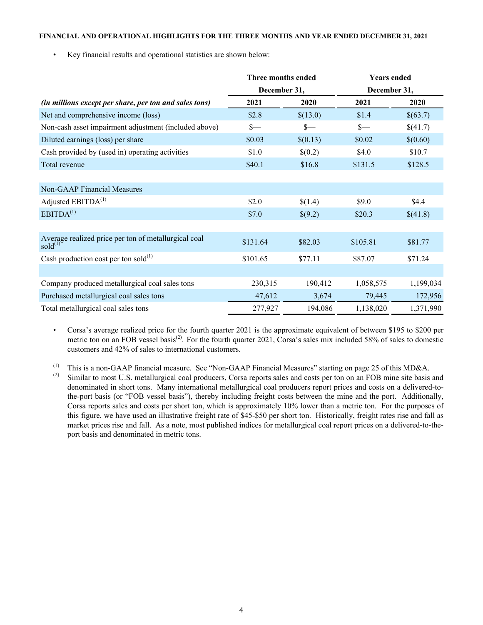#### <span id="page-3-0"></span>**FINANCIAL AND OPERATIONAL HIGHLIGHTS FOR THE THREE MONTHS AND YEAR ENDED DECEMBER 31, 2021**

• Key financial results and operational statistics are shown below:

|                                                                       | Three months ended |          | <b>Years ended</b> |           |  |
|-----------------------------------------------------------------------|--------------------|----------|--------------------|-----------|--|
|                                                                       | December 31,       |          | December 31,       |           |  |
| (in millions except per share, per ton and sales tons)                | 2021               | 2020     | 2021               | 2020      |  |
| Net and comprehensive income (loss)                                   | \$2.8              | \$(13.0) | \$1.4              | \$(63.7)  |  |
| Non-cash asset impairment adjustment (included above)                 | $S-$               | $s-$     | $S-$               | \$(41.7)  |  |
| Diluted earnings (loss) per share                                     | \$0.03             | \$(0.13) | \$0.02             | \$(0.60)  |  |
| Cash provided by (used in) operating activities                       | \$1.0              | \$(0.2)  | \$4.0              | \$10.7    |  |
| Total revenue                                                         | \$40.1             | \$16.8   | \$131.5            | \$128.5   |  |
|                                                                       |                    |          |                    |           |  |
| <b>Non-GAAP Financial Measures</b>                                    |                    |          |                    |           |  |
| Adjusted EBITDA <sup>(1)</sup>                                        | \$2.0              | \$(1.4)  | \$9.0              | \$4.4     |  |
| EBITDA <sup>(1)</sup>                                                 | \$7.0              | \$(9.2)  | \$20.3             | \$(41.8)  |  |
|                                                                       |                    |          |                    |           |  |
| Average realized price per ton of metallurgical coal<br>sold $^{(1)}$ | \$131.64           | \$82.03  | \$105.81           | \$81.77   |  |
| Cash production cost per ton sold $^{(1)}$                            | \$101.65           | \$77.11  | \$87.07            | \$71.24   |  |
|                                                                       |                    |          |                    |           |  |
| Company produced metallurgical coal sales tons                        | 230,315            | 190,412  | 1,058,575          | 1,199,034 |  |
| Purchased metallurgical coal sales tons                               | 47,612             | 3,674    | 79,445             | 172,956   |  |
| Total metallurgical coal sales tons                                   | 277,927            | 194,086  | 1,138,020          | 1,371,990 |  |

• Corsa's average realized price for the fourth quarter 2021 is the approximate equivalent of between \$195 to \$200 per metric ton on an FOB vessel basis<sup>(2)</sup>. For the fourth quarter 2021, Corsa's sales mix included 58% of sales to domestic customers and 42% of sales to international customers.

(1) This is a non-GAAP financial measure. See "Non-GAAP Financial Measures" starting on page [25](#page-24-0) of this MD&A.

Similar to most U.S. metallurgical coal producers, Corsa reports sales and costs per ton on an FOB mine site basis and denominated in short tons. Many international metallurgical coal producers report prices and costs on a delivered-tothe-port basis (or "FOB vessel basis"), thereby including freight costs between the mine and the port. Additionally, Corsa reports sales and costs per short ton, which is approximately 10% lower than a metric ton. For the purposes of this figure, we have used an illustrative freight rate of \$45-\$50 per short ton. Historically, freight rates rise and fall as market prices rise and fall. As a note, most published indices for metallurgical coal report prices on a delivered-to-theport basis and denominated in metric tons.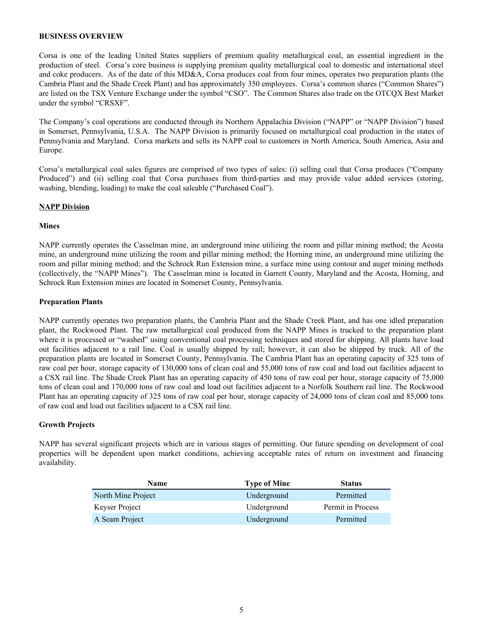#### <span id="page-4-0"></span>**BUSINESS OVERVIEW**

Corsa is one of the leading United States suppliers of premium quality metallurgical coal, an essential ingredient in the production of steel. Corsa's core business is supplying premium quality metallurgical coal to domestic and international steel and coke producers. As of the date of this MD&A, Corsa produces coal from four mines, operates two preparation plants (the Cambria Plant and the Shade Creek Plant) and has approximately 350 employees. Corsa's common shares ("Common Shares") are listed on the TSX Venture Exchange under the symbol "CSO". The Common Shares also trade on the OTCQX Best Market under the symbol "CRSXF".

The Company's coal operations are conducted through its Northern Appalachia Division ("NAPP" or "NAPP Division") based in Somerset, Pennsylvania, U.S.A. The NAPP Division is primarily focused on metallurgical coal production in the states of Pennsylvania and Maryland. Corsa markets and sells its NAPP coal to customers in North America, South America, Asia and Europe.

Corsa's metallurgical coal sales figures are comprised of two types of sales: (i) selling coal that Corsa produces ("Company Produced") and (ii) selling coal that Corsa purchases from third-parties and may provide value added services (storing, washing, blending, loading) to make the coal saleable ("Purchased Coal").

#### **NAPP Division**

#### **Mines**

NAPP currently operates the Casselman mine, an underground mine utilizing the room and pillar mining method; the Acosta mine, an underground mine utilizing the room and pillar mining method; the Horning mine, an underground mine utilizing the room and pillar mining method; and the Schrock Run Extension mine, a surface mine using contour and auger mining methods (collectively, the "NAPP Mines"). The Casselman mine is located in Garrett County, Maryland and the Acosta, Horning, and Schrock Run Extension mines are located in Somerset County, Pennsylvania.

#### **Preparation Plants**

NAPP currently operates two preparation plants, the Cambria Plant and the Shade Creek Plant, and has one idled preparation plant, the Rockwood Plant. The raw metallurgical coal produced from the NAPP Mines is trucked to the preparation plant where it is processed or "washed" using conventional coal processing techniques and stored for shipping. All plants have load out facilities adjacent to a rail line. Coal is usually shipped by rail; however, it can also be shipped by truck. All of the preparation plants are located in Somerset County, Pennsylvania. The Cambria Plant has an operating capacity of 325 tons of raw coal per hour, storage capacity of 130,000 tons of clean coal and 55,000 tons of raw coal and load out facilities adjacent to a CSX rail line. The Shade Creek Plant has an operating capacity of 450 tons of raw coal per hour, storage capacity of 75,000 tons of clean coal and 170,000 tons of raw coal and load out facilities adjacent to a Norfolk Southern rail line. The Rockwood Plant has an operating capacity of 325 tons of raw coal per hour, storage capacity of 24,000 tons of clean coal and 85,000 tons of raw coal and load out facilities adjacent to a CSX rail line.

## **Growth Projects**

NAPP has several significant projects which are in various stages of permitting. Our future spending on development of coal properties will be dependent upon market conditions, achieving acceptable rates of return on investment and financing availability.

| <b>Name</b>        | <b>Type of Mine</b> | <b>Status</b>     |
|--------------------|---------------------|-------------------|
| North Mine Project | Underground         | Permitted         |
| Keyser Project     | Underground         | Permit in Process |
| A Seam Project     | Underground         | Permitted         |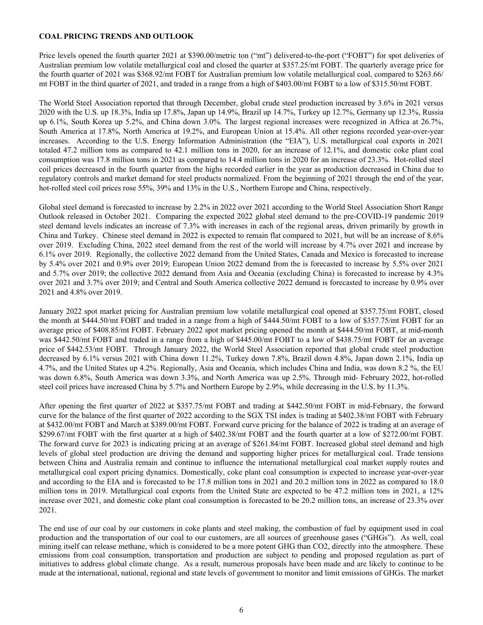#### <span id="page-5-0"></span>**COAL PRICING TRENDS AND OUTLOOK**

Price levels opened the fourth quarter 2021 at \$390.00/metric ton ("mt") delivered-to-the-port ("FOBT") for spot deliveries of Australian premium low volatile metallurgical coal and closed the quarter at \$357.25/mt FOBT. The quarterly average price for the fourth quarter of 2021 was \$368.92/mt FOBT for Australian premium low volatile metallurgical coal, compared to \$263.66/ mt FOBT in the third quarter of 2021, and traded in a range from a high of \$403.00/mt FOBT to a low of \$315.50/mt FOBT.

The World Steel Association reported that through December, global crude steel production increased by 3.6% in 2021 versus 2020 with the U.S. up 18.3%, India up 17.8%, Japan up 14.9%, Brazil up 14.7%, Turkey up 12.7%, Germany up 12.3%, Russia up 6.1%, South Korea up 5.2%, and China down 3.0%. The largest regional increases were recognized in Africa at 26.7%, South America at 17.8%, North America at 19.2%, and European Union at 15.4%. All other regions recorded year-over-year increases. According to the U.S. Energy Information Administration (the "EIA"), U.S. metallurgical coal exports in 2021 totaled 47.2 million tons as compared to 42.1 million tons in 2020, for an increase of 12.1%, and domestic coke plant coal consumption was 17.8 million tons in 2021 as compared to 14.4 million tons in 2020 for an increase of 23.3%. Hot-rolled steel coil prices decreased in the fourth quarter from the highs recorded earlier in the year as production decreased in China due to regulatory controls and market demand for steel products normalized. From the beginning of 2021 through the end of the year, hot-rolled steel coil prices rose 55%, 39% and 13% in the U.S., Northern Europe and China, respectively.

Global steel demand is forecasted to increase by 2.2% in 2022 over 2021 according to the World Steel Association Short Range Outlook released in October 2021. Comparing the expected 2022 global steel demand to the pre-COVID-19 pandemic 2019 steel demand levels indicates an increase of 7.3% with increases in each of the regional areas, driven primarily by growth in China and Turkey. Chinese steel demand in 2022 is expected to remain flat compared to 2021, but will be an increase of 8.6% over 2019. Excluding China, 2022 steel demand from the rest of the world will increase by 4.7% over 2021 and increase by 6.1% over 2019. Regionally, the collective 2022 demand from the United States, Canada and Mexico is forecasted to increase by 5.4% over 2021 and 0.9% over 2019; European Union 2022 demand from the is forecasted to increase by 5.5% over 2021 and 5.7% over 2019; the collective 2022 demand from Asia and Oceania (excluding China) is forecasted to increase by 4.3% over 2021 and 3.7% over 2019; and Central and South America collective 2022 demand is forecasted to increase by 0.9% over 2021 and 4.8% over 2019.

January 2022 spot market pricing for Australian premium low volatile metallurgical coal opened at \$357.75/mt FOBT, closed the month at \$444.50/mt FOBT and traded in a range from a high of \$444.50/mt FOBT to a low of \$357.75/mt FOBT for an average price of \$408.85/mt FOBT. February 2022 spot market pricing opened the month at \$444.50/mt FOBT, at mid-month was \$442.50/mt FOBT and traded in a range from a high of \$445.00/mt FOBT to a low of \$438.75/mt FOBT for an average price of \$442.53/mt FOBT. Through January 2022, the World Steel Association reported that global crude steel production decreased by 6.1% versus 2021 with China down 11.2%, Turkey down 7.8%, Brazil down 4.8%, Japan down 2.1%, India up 4.7%, and the United States up 4.2%. Regionally, Asia and Oceania, which includes China and India, was down 8.2 %, the EU was down 6.8%, South America was down 3.3%, and North America was up 2.5%. Through mid- February 2022, hot-rolled steel coil prices have increased China by 5.7% and Northern Europe by 2.9%, while decreasing in the U.S. by 11.3%.

After opening the first quarter of 2022 at \$357.75/mt FOBT and trading at \$442.50/mt FOBT in mid-February, the forward curve for the balance of the first quarter of 2022 according to the SGX TSI index is trading at \$402.38/mt FOBT with February at \$432.00/mt FOBT and March at \$389.00/mt FOBT. Forward curve pricing for the balance of 2022 is trading at an average of \$299.67/mt FOBT with the first quarter at a high of \$402.38/mt FOBT and the fourth quarter at a low of \$272.00/mt FOBT. The forward curve for 2023 is indicating pricing at an average of \$261.84/mt FOBT. Increased global steel demand and high levels of global steel production are driving the demand and supporting higher prices for metallurgical coal. Trade tensions between China and Australia remain and continue to influence the international metallurgical coal market supply routes and metallurgical coal export pricing dynamics. Domestically, coke plant coal consumption is expected to increase year-over-year and according to the EIA and is forecasted to be 17.8 million tons in 2021 and 20.2 million tons in 2022 as compared to 18.0 million tons in 2019. Metallurgical coal exports from the United State are expected to be 47.2 million tons in 2021, a 12% increase over 2021, and domestic coke plant coal consumption is forecasted to be 20.2 million tons, an increase of 23.3% over 2021.

The end use of our coal by our customers in coke plants and steel making, the combustion of fuel by equipment used in coal production and the transportation of our coal to our customers, are all sources of greenhouse gases ("GHGs"). As well, coal mining itself can release methane, which is considered to be a more potent GHG than CO2, directly into the atmosphere. These emissions from coal consumption, transportation and production are subject to pending and proposed regulation as part of initiatives to address global climate change. As a result, numerous proposals have been made and are likely to continue to be made at the international, national, regional and state levels of government to monitor and limit emissions of GHGs. The market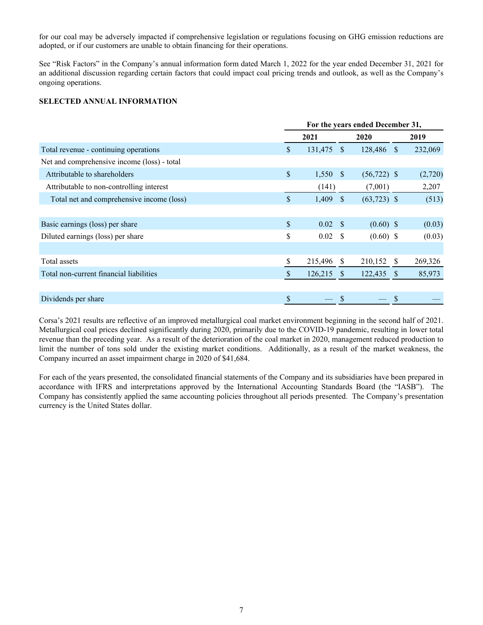<span id="page-6-0"></span>for our coal may be adversely impacted if comprehensive legislation or regulations focusing on GHG emission reductions are adopted, or if our customers are unable to obtain financing for their operations.

See "Risk Factors" in the Company's annual information form dated March 1, 2022 for the year ended December 31, 2021 for an additional discussion regarding certain factors that could impact coal pricing trends and outlook, as well as the Company's ongoing operations.

## **SELECTED ANNUAL INFORMATION**

|                                             | For the years ended December 31, |                 |               |                |              |         |  |
|---------------------------------------------|----------------------------------|-----------------|---------------|----------------|--------------|---------|--|
|                                             |                                  | 2021            |               | 2020           |              | 2019    |  |
| Total revenue - continuing operations       | \$                               | 131,475         | <b>S</b>      | 128,486 \$     |              | 232,069 |  |
| Net and comprehensive income (loss) - total |                                  |                 |               |                |              |         |  |
| Attributable to shareholders                | $\mathbb{S}$                     | $1,550$ \$      |               | $(56, 722)$ \$ |              | (2,720) |  |
| Attributable to non-controlling interest    |                                  | (141)           |               | (7,001)        |              | 2,207   |  |
| Total net and comprehensive income (loss)   | \$                               | 1,409           | <b>S</b>      | $(63,723)$ \$  |              | (513)   |  |
|                                             |                                  |                 |               |                |              |         |  |
| Basic earnings (loss) per share             | \$                               | $0.02 \quad$ \$ |               | $(0.60)$ \$    |              | (0.03)  |  |
| Diluted earnings (loss) per share           | \$                               | 0.02            | - S           | $(0.60)$ \$    |              | (0.03)  |  |
|                                             |                                  |                 |               |                |              |         |  |
| Total assets                                | \$                               | 215,496         | <sup>\$</sup> | 210,152        | - S          | 269,326 |  |
| Total non-current financial liabilities     | \$                               | 126,215         | <sup>S</sup>  | 122,435        | <sup>S</sup> | 85,973  |  |
|                                             |                                  |                 |               |                |              |         |  |
| Dividends per share                         | \$                               |                 | \$            |                | \$           |         |  |

Corsa's 2021 results are reflective of an improved metallurgical coal market environment beginning in the second half of 2021. Metallurgical coal prices declined significantly during 2020, primarily due to the COVID-19 pandemic, resulting in lower total revenue than the preceding year. As a result of the deterioration of the coal market in 2020, management reduced production to limit the number of tons sold under the existing market conditions. Additionally, as a result of the market weakness, the Company incurred an asset impairment charge in 2020 of \$41,684.

For each of the years presented, the consolidated financial statements of the Company and its subsidiaries have been prepared in accordance with IFRS and interpretations approved by the International Accounting Standards Board (the "IASB"). The Company has consistently applied the same accounting policies throughout all periods presented. The Company's presentation currency is the United States dollar.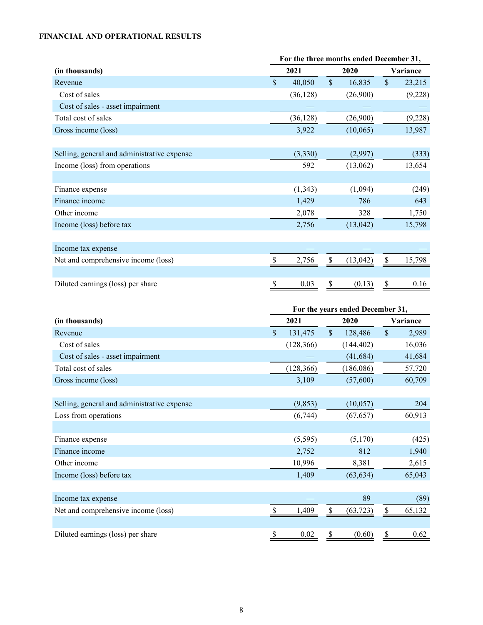# <span id="page-7-0"></span>**FINANCIAL AND OPERATIONAL RESULTS**

|                                             | For the three months ended December 31, |           |               |           |               |         |  |  |
|---------------------------------------------|-----------------------------------------|-----------|---------------|-----------|---------------|---------|--|--|
| (in thousands)                              | 2021<br>2020                            |           |               | Variance  |               |         |  |  |
| Revenue                                     | \$                                      | 40,050    | $\mathsf{\$}$ | 16,835    | $\mathsf{\$}$ | 23,215  |  |  |
| Cost of sales                               |                                         | (36, 128) |               | (26,900)  |               | (9,228) |  |  |
| Cost of sales - asset impairment            |                                         |           |               |           |               |         |  |  |
| Total cost of sales                         |                                         | (36, 128) |               | (26,900)  |               | (9,228) |  |  |
| Gross income (loss)                         |                                         | 3,922     |               | (10,065)  |               | 13,987  |  |  |
|                                             |                                         |           |               |           |               |         |  |  |
| Selling, general and administrative expense |                                         | (3,330)   |               | (2,997)   |               | (333)   |  |  |
| Income (loss) from operations               |                                         | 592       |               | (13,062)  |               | 13,654  |  |  |
|                                             |                                         |           |               |           |               |         |  |  |
| Finance expense                             |                                         | (1, 343)  |               | (1,094)   |               | (249)   |  |  |
| Finance income                              |                                         | 1,429     |               | 786       |               | 643     |  |  |
| Other income                                |                                         | 2,078     |               | 328       |               | 1,750   |  |  |
| Income (loss) before tax                    |                                         | 2,756     |               | (13, 042) |               | 15,798  |  |  |
|                                             |                                         |           |               |           |               |         |  |  |
| Income tax expense                          |                                         |           |               |           |               |         |  |  |
| Net and comprehensive income (loss)         |                                         | 2,756     |               | (13, 042) | \$            | 15,798  |  |  |
|                                             |                                         |           |               |           |               |         |  |  |
| Diluted earnings (loss) per share           | \$                                      | 0.03      | \$            | (0.13)    | \$            | 0.16    |  |  |

|                                             | For the years ended December 31, |            |               |            |          |        |  |  |  |
|---------------------------------------------|----------------------------------|------------|---------------|------------|----------|--------|--|--|--|
| (in thousands)                              |                                  | 2021       |               | 2020       | Variance |        |  |  |  |
| Revenue                                     | \$                               | 131,475    | $\mathcal{S}$ | 128,486    | \$       | 2,989  |  |  |  |
| Cost of sales                               |                                  | (128, 366) |               | (144, 402) |          | 16,036 |  |  |  |
| Cost of sales - asset impairment            |                                  |            |               | (41, 684)  |          | 41,684 |  |  |  |
| Total cost of sales                         |                                  | (128, 366) |               | (186,086)  |          | 57,720 |  |  |  |
| Gross income (loss)                         |                                  | 3,109      |               | (57,600)   |          | 60,709 |  |  |  |
|                                             |                                  |            |               |            |          |        |  |  |  |
| Selling, general and administrative expense |                                  | (9, 853)   |               | (10,057)   |          | 204    |  |  |  |
| Loss from operations                        |                                  | (6,744)    |               | (67, 657)  |          | 60,913 |  |  |  |
|                                             |                                  |            |               |            |          |        |  |  |  |
| Finance expense                             |                                  | (5,595)    |               | (5,170)    |          | (425)  |  |  |  |
| Finance income                              |                                  | 2,752      |               | 812        |          | 1,940  |  |  |  |
| Other income                                |                                  | 10,996     |               | 8,381      |          | 2,615  |  |  |  |
| Income (loss) before tax                    |                                  | 1,409      |               | (63, 634)  |          | 65,043 |  |  |  |
|                                             |                                  |            |               |            |          |        |  |  |  |
| Income tax expense                          |                                  |            |               | 89         |          | (89)   |  |  |  |
| Net and comprehensive income (loss)         |                                  | 1,409      | \$            | (63, 723)  | \$       | 65,132 |  |  |  |
|                                             |                                  |            |               |            |          |        |  |  |  |
| Diluted earnings (loss) per share           | \$                               | 0.02       | \$            | (0.60)     | \$       | 0.62   |  |  |  |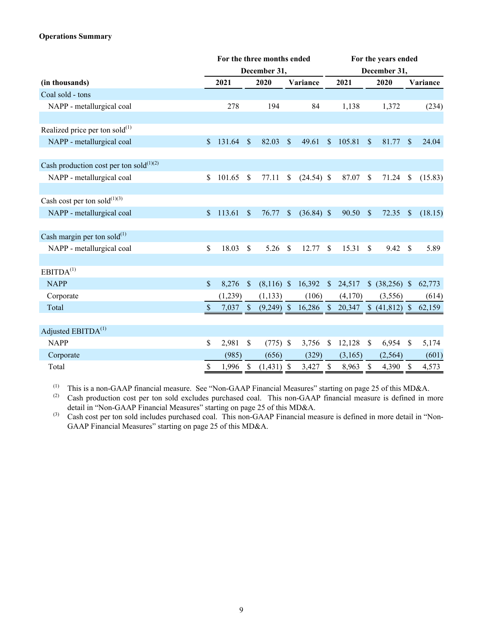# **Operations Summary**

| For the three months ended                    |               |            |                           |              | For the years ended |              |               |              |              |                 |               |          |
|-----------------------------------------------|---------------|------------|---------------------------|--------------|---------------------|--------------|---------------|--------------|--------------|-----------------|---------------|----------|
|                                               |               |            |                           | December 31, |                     |              |               | December 31, |              |                 |               |          |
| (in thousands)                                |               | 2021       |                           | 2020         |                     | Variance     |               | 2021         |              | 2020            |               | Variance |
| Coal sold - tons                              |               |            |                           |              |                     |              |               |              |              |                 |               |          |
| NAPP - metallurgical coal                     |               | 278        |                           | 194          |                     | 84           |               | 1,138        |              | 1,372           |               | (234)    |
|                                               |               |            |                           |              |                     |              |               |              |              |                 |               |          |
| Realized price per ton sold $^{(1)}$          |               |            |                           |              |                     |              |               |              |              |                 |               |          |
| NAPP - metallurgical coal                     | $\mathcal{S}$ | 131.64     | <sup>S</sup>              | 82.03        | $\mathbb{S}$        | 49.61        | \$            | 105.81       | S            | 81.77           | $\mathbf{s}$  | 24.04    |
| Cash production cost per ton sold $^{(1)(2)}$ |               |            |                           |              |                     |              |               |              |              |                 |               |          |
| NAPP - metallurgical coal                     | \$            | 101.65     | $\mathcal{S}$             | 77.11        | \$                  | $(24.54)$ \$ |               | 87.07        | $\mathbb{S}$ | 71.24           | \$            | (15.83)  |
|                                               |               |            |                           |              |                     |              |               |              |              |                 |               |          |
| Cash cost per ton sold $^{(1)(3)}$            |               |            |                           |              |                     |              |               |              |              |                 |               |          |
| NAPP - metallurgical coal                     | $\mathsf{\$}$ | 113.61     | $\sqrt{\ }$               | 76.77        | \$                  | $(36.84)$ \$ |               | 90.50        | $\sqrt{3}$   | 72.35           | $\mathcal{S}$ | (18.15)  |
| Cash margin per ton sold $^{(1)}$             |               |            |                           |              |                     |              |               |              |              |                 |               |          |
| NAPP - metallurgical coal                     | \$            | 18.03      | \$                        | 5.26         | $\mathcal{S}$       | 12.77        | \$            | 15.31        | \$           | 9.42            | \$            | 5.89     |
|                                               |               |            |                           |              |                     |              |               |              |              |                 |               |          |
| EBITDA <sup>(1)</sup>                         |               |            |                           |              |                     |              |               |              |              |                 |               |          |
| <b>NAPP</b>                                   | $\mathbb{S}$  | 8,276      | -\$                       | $(8,116)$ \$ |                     | 16,392       | $\mathcal{S}$ | 24,517       |              | $$ (38,256)$ \, |               | 62,773   |
| Corporate                                     |               | (1,239)    |                           | (1, 133)     |                     | (106)        |               | (4,170)      |              | (3,556)         |               | (614)    |
| Total                                         | $\mathbb{S}$  | $7,037$ \$ |                           | $(9,249)$ \$ |                     | $16,286$ \$  |               | 20,347       |              |                 |               | 62,159   |
| Adjusted EBITDA <sup>(1)</sup>                |               |            |                           |              |                     |              |               |              |              |                 |               |          |
| <b>NAPP</b>                                   | \$            | 2,981      | $\mathcal{S}$             | $(775)$ \$   |                     | 3,756        | \$            | 12,128       | $\mathbb{S}$ | 6,954           | <sup>S</sup>  | 5,174    |
| Corporate                                     |               | (985)      |                           | (656)        |                     | (329)        |               | (3,165)      |              | (2, 564)        |               | (601)    |
| Total                                         | \$            | 1,996      | $\boldsymbol{\mathsf{S}}$ | $(1,431)$ \$ |                     | 3,427        | $\mathcal{S}$ | 8,963        | \$           | 4,390           | $\mathbb{S}$  | 4,573    |

(1) This is a non-GAAP financial measure. See "Non-GAAP Financial Measures" starting on page [25](#page-24-0) of this MD&A.<br>(2) Cash production cost per top sold excludes purchased coal. This pop-GAAP financial measure is defined in m

Cash production cost per ton sold excludes purchased coal. This non-GAAP financial measure is defined in more detail in "Non-GAAP Financial Measures" starting on page [25](#page-24-0) of this MD&A.

(3) Cash cost per ton sold includes purchased coal. This non-GAAP Financial measure is defined in more detail in "Non-GAAP Financial Measures" starting on page [25](#page-24-0) of this MD&A.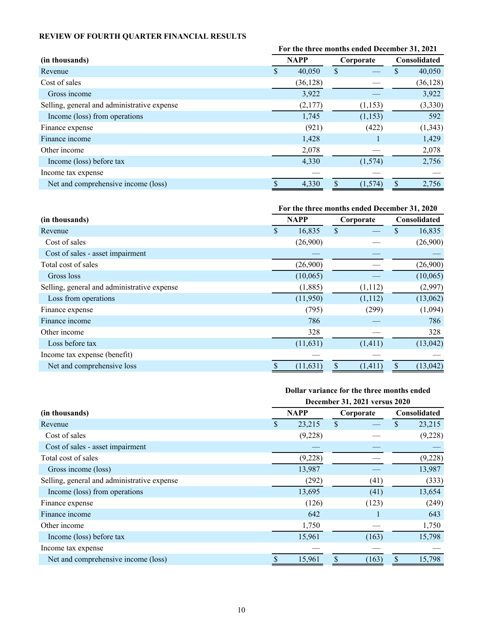# <span id="page-9-0"></span>**REVIEW OF FOURTH QUARTER FINANCIAL RESULTS**

|                                             | For the three months ended December 31, 2021 |             |           |          |   |                     |  |  |
|---------------------------------------------|----------------------------------------------|-------------|-----------|----------|---|---------------------|--|--|
| (in thousands)                              |                                              | <b>NAPP</b> | Corporate |          |   | <b>Consolidated</b> |  |  |
| Revenue                                     |                                              | 40,050      | \$        |          | S | 40,050              |  |  |
| Cost of sales                               |                                              | (36, 128)   |           |          |   | (36, 128)           |  |  |
| Gross income                                |                                              | 3,922       |           |          |   | 3,922               |  |  |
| Selling, general and administrative expense |                                              | (2,177)     |           | (1,153)  |   | (3,330)             |  |  |
| Income (loss) from operations               |                                              | 1,745       |           | (1,153)  |   | 592                 |  |  |
| Finance expense                             |                                              | (921)       |           | (422)    |   | (1,343)             |  |  |
| Finance income                              |                                              | 1,428       |           |          |   | 1,429               |  |  |
| Other income                                |                                              | 2,078       |           |          |   | 2,078               |  |  |
| Income (loss) before tax                    |                                              | 4,330       |           | (1,574)  |   | 2,756               |  |  |
| Income tax expense                          |                                              |             |           |          |   |                     |  |  |
| Net and comprehensive income (loss)         |                                              | 4,330       |           | (1, 574) | S | 2,756               |  |  |

# **For the three months ended December 31, 2020**

| (in thousands)                              |              | <b>NAPP</b> | Corporate | Consolidated |           |  |
|---------------------------------------------|--------------|-------------|-----------|--------------|-----------|--|
| Revenue                                     | $\mathbb{S}$ | 16,835      | \$        | S            | 16,835    |  |
| Cost of sales                               |              | (26,900)    |           |              | (26,900)  |  |
| Cost of sales - asset impairment            |              |             |           |              |           |  |
| Total cost of sales                         |              | (26,900)    |           |              | (26,900)  |  |
| Gross loss                                  |              | (10,065)    |           |              | (10,065)  |  |
| Selling, general and administrative expense |              | (1,885)     | (1,112)   |              | (2,997)   |  |
| Loss from operations                        |              | (11,950)    | (1,112)   |              | (13,062)  |  |
| Finance expense                             |              | (795)       | (299)     |              | (1,094)   |  |
| Finance income                              |              | 786         |           |              | 786       |  |
| Other income                                |              | 328         |           |              | 328       |  |
| Loss before tax                             |              | (11, 631)   | (1,411)   |              | (13, 042) |  |
| Income tax expense (benefit)                |              |             |           |              |           |  |
| Net and comprehensive loss                  |              | (11, 631)   | (1,411)   |              | (13, 042) |  |

# **Dollar variance for the three months ended**

|                                             | December 31, 2021 versus 2020 |         |           |       |                           |         |  |  |  |  |
|---------------------------------------------|-------------------------------|---------|-----------|-------|---------------------------|---------|--|--|--|--|
| (in thousands)                              | <b>NAPP</b>                   |         | Corporate |       | Consolidated              |         |  |  |  |  |
| Revenue                                     | \$<br>23,215                  |         | \$        |       | S                         | 23,215  |  |  |  |  |
| Cost of sales                               |                               | (9,228) |           |       |                           | (9,228) |  |  |  |  |
| Cost of sales - asset impairment            |                               |         |           |       |                           |         |  |  |  |  |
| Total cost of sales                         |                               | (9,228) |           |       |                           | (9,228) |  |  |  |  |
| Gross income (loss)                         |                               | 13,987  |           |       |                           | 13,987  |  |  |  |  |
| Selling, general and administrative expense |                               | (292)   |           | (41)  |                           | (333)   |  |  |  |  |
| Income (loss) from operations               |                               | 13,695  |           | (41)  |                           | 13,654  |  |  |  |  |
| Finance expense                             |                               | (126)   |           | (123) |                           | (249)   |  |  |  |  |
| Finance income                              |                               | 642     |           |       |                           | 643     |  |  |  |  |
| Other income                                |                               | 1,750   |           |       |                           | 1,750   |  |  |  |  |
| Income (loss) before tax                    |                               | 15,961  |           | (163) |                           | 15,798  |  |  |  |  |
| Income tax expense                          |                               |         |           |       |                           |         |  |  |  |  |
| Net and comprehensive income (loss)         |                               | 15,961  | \$        | (163) | $\boldsymbol{\mathsf{S}}$ | 15,798  |  |  |  |  |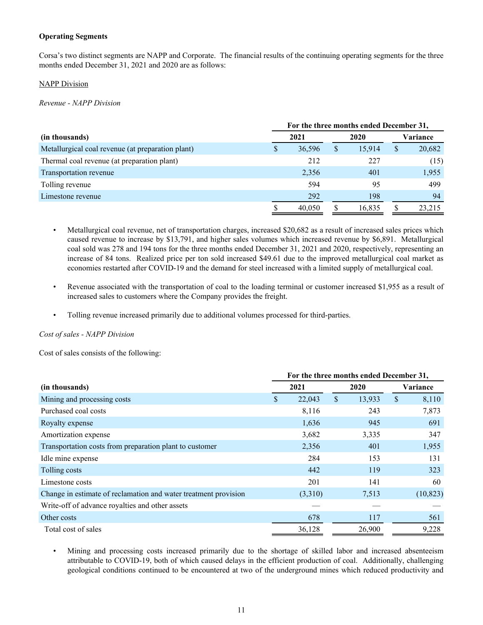## **Operating Segments**

Corsa's two distinct segments are NAPP and Corporate. The financial results of the continuing operating segments for the three months ended December 31, 2021 and 2020 are as follows:

#### **NAPP Division**

*Revenue - NAPP Division*

|                                                   | For the three months ended December 31, |        |   |        |          |        |  |  |  |
|---------------------------------------------------|-----------------------------------------|--------|---|--------|----------|--------|--|--|--|
| (in thousands)                                    |                                         | 2021   |   | 2020   | Variance |        |  |  |  |
| Metallurgical coal revenue (at preparation plant) | S                                       | 36,596 | S | 15.914 | \$       | 20,682 |  |  |  |
| Thermal coal revenue (at preparation plant)       |                                         | 212    |   | 227    |          | (15)   |  |  |  |
| Transportation revenue                            |                                         | 2,356  |   | 401    |          | 1,955  |  |  |  |
| Tolling revenue                                   |                                         | 594    |   | 95     |          | 499    |  |  |  |
| Limestone revenue                                 |                                         | 292    |   | 198    |          | 94     |  |  |  |
|                                                   |                                         | 40,050 |   | 16,835 |          | 23.215 |  |  |  |

- Metallurgical coal revenue, net of transportation charges, increased \$20,682 as a result of increased sales prices which caused revenue to increase by \$13,791, and higher sales volumes which increased revenue by \$6,891. Metallurgical coal sold was 278 and 194 tons for the three months ended December 31, 2021 and 2020, respectively, representing an increase of 84 tons. Realized price per ton sold increased \$49.61 due to the improved metallurgical coal market as economies restarted after COVID-19 and the demand for steel increased with a limited supply of metallurgical coal.
- Revenue associated with the transportation of coal to the loading terminal or customer increased \$1,955 as a result of increased sales to customers where the Company provides the freight.
- Tolling revenue increased primarily due to additional volumes processed for third-parties.

## *Cost of sales - NAPP Division*

Cost of sales consists of the following:

|                                                                 | For the three months ended December 31, |      |        |    |           |  |  |
|-----------------------------------------------------------------|-----------------------------------------|------|--------|----|-----------|--|--|
| (in thousands)                                                  | 2021                                    | 2020 |        |    | Variance  |  |  |
| Mining and processing costs                                     | \$<br>22,043                            | \$   | 13,933 | \$ | 8,110     |  |  |
| Purchased coal costs                                            | 8,116                                   |      | 243    |    | 7,873     |  |  |
| Royalty expense                                                 | 1,636                                   |      | 945    |    | 691       |  |  |
| Amortization expense                                            | 3,682                                   |      | 3,335  |    | 347       |  |  |
| Transportation costs from preparation plant to customer         | 2,356                                   |      | 401    |    | 1,955     |  |  |
| Idle mine expense                                               | 284                                     |      | 153    |    | 131       |  |  |
| Tolling costs                                                   | 442                                     |      | 119    |    | 323       |  |  |
| Limestone costs                                                 | 201                                     |      | 141    |    | 60        |  |  |
| Change in estimate of reclamation and water treatment provision | (3,310)                                 |      | 7,513  |    | (10, 823) |  |  |
| Write-off of advance royalties and other assets                 |                                         |      |        |    |           |  |  |
| Other costs                                                     | 678                                     |      | 117    |    | 561       |  |  |
| Total cost of sales                                             | 36,128                                  |      | 26,900 |    | 9,228     |  |  |

• Mining and processing costs increased primarily due to the shortage of skilled labor and increased absenteeism attributable to COVID-19, both of which caused delays in the efficient production of coal. Additionally, challenging geological conditions continued to be encountered at two of the underground mines which reduced productivity and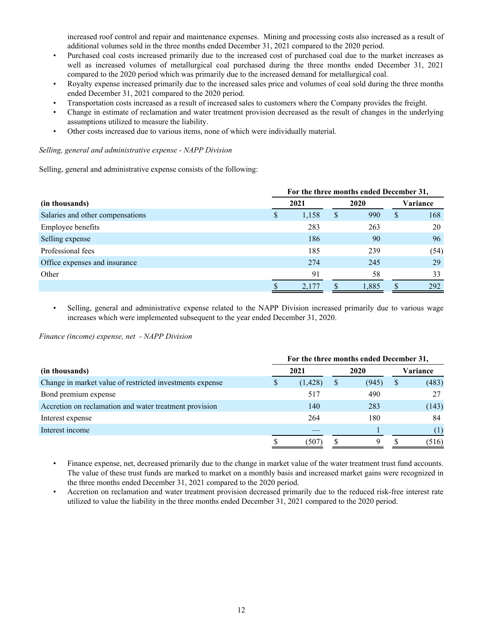increased roof control and repair and maintenance expenses. Mining and processing costs also increased as a result of additional volumes sold in the three months ended December 31, 2021 compared to the 2020 period.

- Purchased coal costs increased primarily due to the increased cost of purchased coal due to the market increases as well as increased volumes of metallurgical coal purchased during the three months ended December 31, 2021 compared to the 2020 period which was primarily due to the increased demand for metallurgical coal.
- Royalty expense increased primarily due to the increased sales price and volumes of coal sold during the three months ended December 31, 2021 compared to the 2020 period.
- Transportation costs increased as a result of increased sales to customers where the Company provides the freight.
- Change in estimate of reclamation and water treatment provision decreased as the result of changes in the underlying assumptions utilized to measure the liability.
- Other costs increased due to various items, none of which were individually material.

## *Selling, general and administrative expense - NAPP Division*

Selling, general and administrative expense consists of the following:

|                                  | For the three months ended December 31, |       |              |       |              |          |  |
|----------------------------------|-----------------------------------------|-------|--------------|-------|--------------|----------|--|
| (in thousands)                   |                                         | 2021  |              | 2020  |              | Variance |  |
| Salaries and other compensations | D                                       | 1,158 | <sup>S</sup> | 990   | <sup>S</sup> | 168      |  |
| Employee benefits                |                                         | 283   |              | 263   |              | 20       |  |
| Selling expense                  |                                         | 186   |              | 90    |              | 96       |  |
| Professional fees                |                                         | 185   |              | 239   |              | (54)     |  |
| Office expenses and insurance    |                                         | 274   |              | 245   |              | 29       |  |
| Other                            |                                         | 91    |              | 58    |              | 33       |  |
|                                  |                                         | 2.177 |              | 1,885 |              | 292      |  |

Selling, general and administrative expense related to the NAPP Division increased primarily due to various wage increases which were implemented subsequent to the year ended December 31, 2020.

*Finance (income) expense, net - NAPP Division*

|                                                          | For the three months ended December 31, |          |   |       |    |          |  |
|----------------------------------------------------------|-----------------------------------------|----------|---|-------|----|----------|--|
| (in thousands)                                           |                                         | 2021     |   | 2020  |    | Variance |  |
| Change in market value of restricted investments expense |                                         | (1, 428) | S | (945) | \$ | (483)    |  |
| Bond premium expense                                     |                                         | 517      |   | 490   |    | 27       |  |
| Accretion on reclamation and water treatment provision   |                                         | 140      |   | 283   |    | (143)    |  |
| Interest expense                                         |                                         | 264      |   | 180   |    | 84       |  |
| Interest income                                          |                                         |          |   |       |    |          |  |
|                                                          |                                         | (507)    |   |       |    | (516)    |  |

• Finance expense, net, decreased primarily due to the change in market value of the water treatment trust fund accounts. The value of these trust funds are marked to market on a monthly basis and increased market gains were recognized in the three months ended December 31, 2021 compared to the 2020 period.

• Accretion on reclamation and water treatment provision decreased primarily due to the reduced risk-free interest rate utilized to value the liability in the three months ended December 31, 2021 compared to the 2020 period.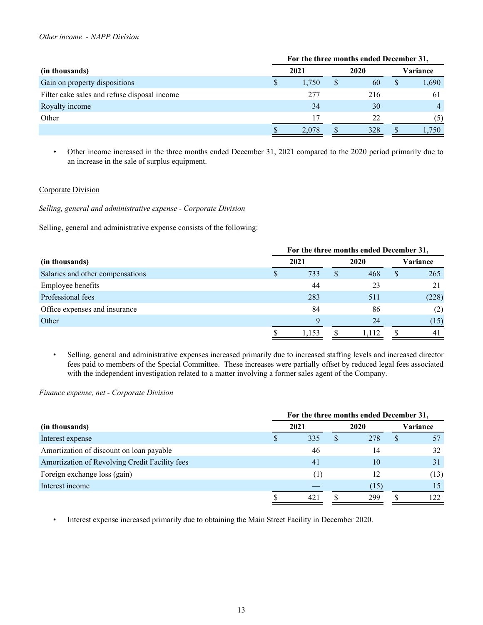#### *Other income - NAPP Division*

|                                              |    | For the three months ended December 31, |  |      |    |          |  |
|----------------------------------------------|----|-----------------------------------------|--|------|----|----------|--|
| (in thousands)                               |    | 2021                                    |  | 2020 |    | Variance |  |
| Gain on property dispositions                | Y. | 1,750                                   |  | 60   | \$ | 1,690    |  |
| Filter cake sales and refuse disposal income |    | 277                                     |  | 216  |    | 61       |  |
| Royalty income                               |    | 34                                      |  | 30   |    |          |  |
| Other                                        |    | 17                                      |  | 22   |    | (5)      |  |
|                                              |    | 2,078                                   |  | 328  |    | 1.750    |  |

*•* Other income increased in the three months ended December 31, 2021 compared to the 2020 period primarily due to an increase in the sale of surplus equipment.

## Corporate Division

*Selling, general and administrative expense - Corporate Division*

Selling, general and administrative expense consists of the following:

|                                  |  | For the three months ended December 31, |   |       |    |          |  |
|----------------------------------|--|-----------------------------------------|---|-------|----|----------|--|
| (in thousands)                   |  | 2021                                    |   | 2020  |    | Variance |  |
| Salaries and other compensations |  | 733                                     | S | 468   | \$ | 265      |  |
| Employee benefits                |  | 44                                      |   | 23    |    | 21       |  |
| Professional fees                |  | 283                                     |   | 511   |    | (228)    |  |
| Office expenses and insurance    |  | 84                                      |   | 86    |    | (2)      |  |
| Other                            |  | $\mathbf Q$                             |   | 24    |    | (15)     |  |
|                                  |  | 1,153                                   |   | l.112 |    | 41       |  |

• Selling, general and administrative expenses increased primarily due to increased staffing levels and increased director fees paid to members of the Special Committee. These increases were partially offset by reduced legal fees associated with the independent investigation related to a matter involving a former sales agent of the Company.

*Finance expense, net - Corporate Division*

|                                                |   | For the three months ended December 31, |  |      |    |          |  |  |
|------------------------------------------------|---|-----------------------------------------|--|------|----|----------|--|--|
| (in thousands)                                 |   | 2021                                    |  | 2020 |    | Variance |  |  |
| Interest expense                               | S | 335                                     |  | 278  | \$ |          |  |  |
| Amortization of discount on loan payable       |   | 46                                      |  | 14   |    | 32       |  |  |
| Amortization of Revolving Credit Facility fees |   | 41                                      |  | 10   |    | 31       |  |  |
| Foreign exchange loss (gain)                   |   | (1)                                     |  | 12   |    | (13)     |  |  |
| Interest income                                |   |                                         |  | (15) |    |          |  |  |
|                                                |   | 421                                     |  | 299  |    |          |  |  |

• Interest expense increased primarily due to obtaining the Main Street Facility in December 2020.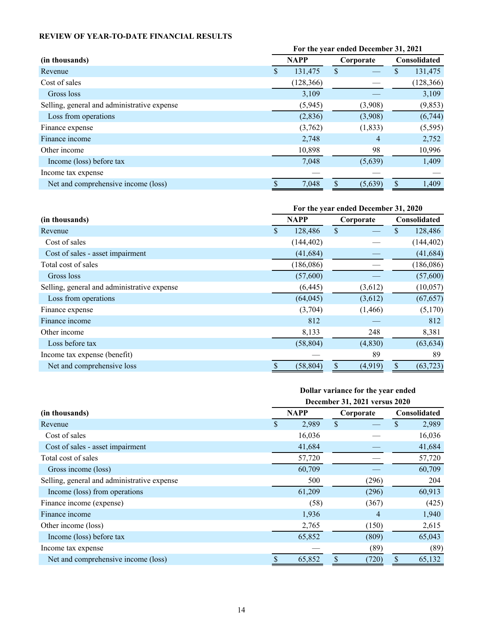# <span id="page-13-0"></span>**REVIEW OF YEAR-TO-DATE FINANCIAL RESULTS**

|                                             | For the year ended December 31, 2021 |             |           |          |              |            |  |
|---------------------------------------------|--------------------------------------|-------------|-----------|----------|--------------|------------|--|
| (in thousands)                              |                                      | <b>NAPP</b> | Corporate |          | Consolidated |            |  |
| Revenue                                     | S                                    | 131,475     | \$        |          | \$           | 131,475    |  |
| Cost of sales                               |                                      | (128, 366)  |           |          |              | (128, 366) |  |
| Gross loss                                  |                                      | 3,109       |           |          |              | 3,109      |  |
| Selling, general and administrative expense |                                      | (5,945)     |           | (3,908)  |              | (9, 853)   |  |
| Loss from operations                        |                                      | (2, 836)    |           | (3,908)  |              | (6,744)    |  |
| Finance expense                             |                                      | (3,762)     |           | (1, 833) |              | (5,595)    |  |
| Finance income                              |                                      | 2,748       |           | 4        |              | 2,752      |  |
| Other income                                |                                      | 10,898      |           | 98       |              | 10,996     |  |
| Income (loss) before tax                    |                                      | 7,048       |           | (5,639)  |              | 1,409      |  |
| Income tax expense                          |                                      |             |           |          |              |            |  |
| Net and comprehensive income (loss)         |                                      | 7,048       |           | (5,639)  | \$.          | 1,409      |  |

|                                             |     | For the year ended December 31, 2020 |              |          |                     |            |  |
|---------------------------------------------|-----|--------------------------------------|--------------|----------|---------------------|------------|--|
| (in thousands)                              |     | <b>NAPP</b>                          | Corporate    |          | <b>Consolidated</b> |            |  |
| Revenue                                     | \$. | 128,486                              | $\mathbb{S}$ |          | \$                  | 128,486    |  |
| Cost of sales                               |     | (144, 402)                           |              |          |                     | (144, 402) |  |
| Cost of sales - asset impairment            |     | (41, 684)                            |              |          |                     | (41, 684)  |  |
| Total cost of sales                         |     | (186,086)                            |              |          |                     | (186,086)  |  |
| Gross loss                                  |     | (57,600)                             |              |          |                     | (57,600)   |  |
| Selling, general and administrative expense |     | (6, 445)                             |              | (3,612)  |                     | (10, 057)  |  |
| Loss from operations                        |     | (64, 045)                            |              | (3,612)  |                     | (67, 657)  |  |
| Finance expense                             |     | (3,704)                              |              | (1,466)  |                     | (5,170)    |  |
| Finance income                              |     | 812                                  |              |          |                     | 812        |  |
| Other income                                |     | 8,133                                |              | 248      |                     | 8,381      |  |
| Loss before tax                             |     | (58, 804)                            |              | (4, 830) |                     | (63, 634)  |  |
| Income tax expense (benefit)                |     |                                      |              | 89       |                     | 89         |  |
| Net and comprehensive loss                  |     | (58, 804)                            |              | (4,919)  | \$                  | (63, 723)  |  |

## **Dollar variance for the year ended December 31, 2021 versus 2020**

|                                             | December 31, 2021 versus 2020 |             |           |              |  |  |  |  |
|---------------------------------------------|-------------------------------|-------------|-----------|--------------|--|--|--|--|
| (in thousands)                              |                               | <b>NAPP</b> | Corporate | Consolidated |  |  |  |  |
| Revenue                                     | \$                            | 2,989       | \$        | 2,989<br>\$  |  |  |  |  |
| Cost of sales                               |                               | 16,036      |           | 16,036       |  |  |  |  |
| Cost of sales - asset impairment            |                               | 41,684      |           | 41,684       |  |  |  |  |
| Total cost of sales                         |                               | 57,720      |           | 57,720       |  |  |  |  |
| Gross income (loss)                         |                               | 60,709      |           | 60,709       |  |  |  |  |
| Selling, general and administrative expense |                               | 500         | (296)     | 204          |  |  |  |  |
| Income (loss) from operations               |                               | 61,209      | (296)     | 60,913       |  |  |  |  |
| Finance income (expense)                    |                               | (58)        | (367)     | (425)        |  |  |  |  |
| Finance income                              |                               | 1,936       | 4         | 1,940        |  |  |  |  |
| Other income (loss)                         |                               | 2,765       | (150)     | 2,615        |  |  |  |  |
| Income (loss) before tax                    |                               | 65,852      | (809)     | 65,043       |  |  |  |  |
| Income tax expense                          |                               |             | (89)      | (89)         |  |  |  |  |
| Net and comprehensive income (loss)         |                               | 65,852      | (720)     | \$<br>65,132 |  |  |  |  |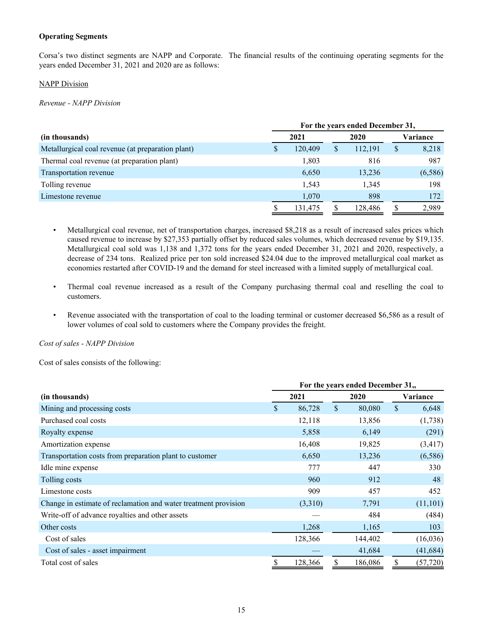## **Operating Segments**

Corsa's two distinct segments are NAPP and Corporate. The financial results of the continuing operating segments for the years ended December 31, 2021 and 2020 are as follows:

# NAPP Division

*Revenue - NAPP Division*

|                                                   |   | For the years ended December 31, |   |         |    |          |  |  |  |
|---------------------------------------------------|---|----------------------------------|---|---------|----|----------|--|--|--|
| (in thousands)                                    |   | 2021                             |   | 2020    |    | Variance |  |  |  |
| Metallurgical coal revenue (at preparation plant) | S | 120,409                          | S | 112,191 | \$ | 8,218    |  |  |  |
| Thermal coal revenue (at preparation plant)       |   | 1,803                            |   | 816     |    | 987      |  |  |  |
| Transportation revenue                            |   | 6,650                            |   | 13,236  |    | (6,586)  |  |  |  |
| Tolling revenue                                   |   | 1,543                            |   | 1,345   |    | 198      |  |  |  |
| Limestone revenue                                 |   | 1,070                            |   | 898     |    | 172      |  |  |  |
|                                                   |   | 131.475                          |   | 128,486 | \$ | 2,989    |  |  |  |

- Metallurgical coal revenue, net of transportation charges, increased \$8,218 as a result of increased sales prices which caused revenue to increase by \$27,353 partially offset by reduced sales volumes, which decreased revenue by \$19,135. Metallurgical coal sold was 1,138 and 1,372 tons for the years ended December 31, 2021 and 2020, respectively, a decrease of 234 tons. Realized price per ton sold increased \$24.04 due to the improved metallurgical coal market as economies restarted after COVID-19 and the demand for steel increased with a limited supply of metallurgical coal.
- Thermal coal revenue increased as a result of the Company purchasing thermal coal and reselling the coal to customers.
- Revenue associated with the transportation of coal to the loading terminal or customer decreased \$6,586 as a result of lower volumes of coal sold to customers where the Company provides the freight.

*Cost of sales - NAPP Division*

Cost of sales consists of the following:

|                                                                 | For the years ended December 31,, |         |              |         |    |           |  |
|-----------------------------------------------------------------|-----------------------------------|---------|--------------|---------|----|-----------|--|
| (in thousands)                                                  |                                   | 2021    |              | 2020    |    | Variance  |  |
| Mining and processing costs                                     | \$                                | 86,728  | $\mathbb{S}$ | 80,080  | \$ | 6,648     |  |
| Purchased coal costs                                            |                                   | 12,118  |              | 13,856  |    | (1,738)   |  |
| Royalty expense                                                 |                                   | 5,858   |              | 6,149   |    | (291)     |  |
| Amortization expense                                            |                                   | 16,408  |              | 19,825  |    | (3, 417)  |  |
| Transportation costs from preparation plant to customer         |                                   | 6,650   |              | 13,236  |    | (6,586)   |  |
| Idle mine expense                                               |                                   | 777     |              | 447     |    | 330       |  |
| Tolling costs                                                   |                                   | 960     |              | 912     |    | 48        |  |
| Limestone costs                                                 |                                   | 909     |              | 457     |    | 452       |  |
| Change in estimate of reclamation and water treatment provision |                                   | (3,310) |              | 7,791   |    | (11, 101) |  |
| Write-off of advance royalties and other assets                 |                                   |         |              | 484     |    | (484)     |  |
| Other costs                                                     |                                   | 1,268   |              | 1,165   |    | 103       |  |
| Cost of sales                                                   |                                   | 128,366 |              | 144,402 |    | (16,036)  |  |
| Cost of sales - asset impairment                                |                                   |         |              | 41,684  |    | (41, 684) |  |
| Total cost of sales                                             | S                                 | 128,366 |              | 186,086 | \$ | (57, 720) |  |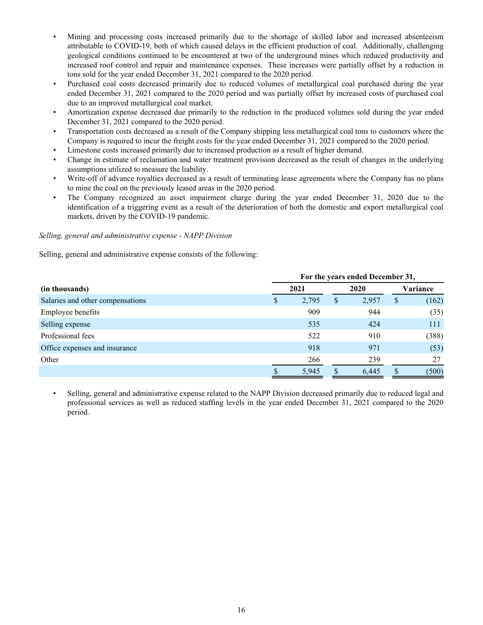- Mining and processing costs increased primarily due to the shortage of skilled labor and increased absenteeism attributable to COVID-19, both of which caused delays in the efficient production of coal. Additionally, challenging geological conditions continued to be encountered at two of the underground mines which reduced productivity and increased roof control and repair and maintenance expenses. These increases were partially offset by a reduction in tons sold for the year ended December 31, 2021 compared to the 2020 period.
- Purchased coal costs decreased primarily due to reduced volumes of metallurgical coal purchased during the year ended December 31, 2021 compared to the 2020 period and was partially offset by increased costs of purchased coal due to an improved metallurgical coal market.
- Amortization expense decreased due primarily to the reduction in the produced volumes sold during the year ended December 31, 2021 compared to the 2020 period.
- Transportation costs decreased as a result of the Company shipping less metallurgical coal tons to customers where the Company is required to incur the freight costs for the year ended December 31, 2021 compared to the 2020 period.
- Limestone costs increased primarily due to increased production as a result of higher demand.
- Change in estimate of reclamation and water treatment provision decreased as the result of changes in the underlying assumptions utilized to measure the liability.
- Write-off of advance royalties decreased as a result of terminating lease agreements where the Company has no plans to mine the coal on the previously leased areas in the 2020 period.
- The Company recognized an asset impairment charge during the year ended December 31, 2020 due to the identification of a triggering event as a result of the deterioration of both the domestic and export metallurgical coal markets, driven by the COVID-19 pandemic.

## *Selling, general and administrative expense - NAPP Division*

Selling, general and administrative expense consists of the following:

|                                  |   | For the years ended December 31, |    |       |    |          |  |  |
|----------------------------------|---|----------------------------------|----|-------|----|----------|--|--|
| (in thousands)                   |   | 2021                             |    | 2020  |    | Variance |  |  |
| Salaries and other compensations | S | 2,795                            | \$ | 2,957 | \$ | (162)    |  |  |
| <b>Employee benefits</b>         |   | 909                              |    | 944   |    | (35)     |  |  |
| Selling expense                  |   | 535                              |    | 424   |    | 111      |  |  |
| Professional fees                |   | 522                              |    | 910   |    | (388)    |  |  |
| Office expenses and insurance    |   | 918                              |    | 971   |    | (53)     |  |  |
| Other                            |   | 266                              |    | 239   |    | 27       |  |  |
|                                  |   | 5,945                            |    | 6.445 |    | (500)    |  |  |

• Selling, general and administrative expense related to the NAPP Division decreased primarily due to reduced legal and professional services as well as reduced staffing levels in the year ended December 31, 2021 compared to the 2020 period.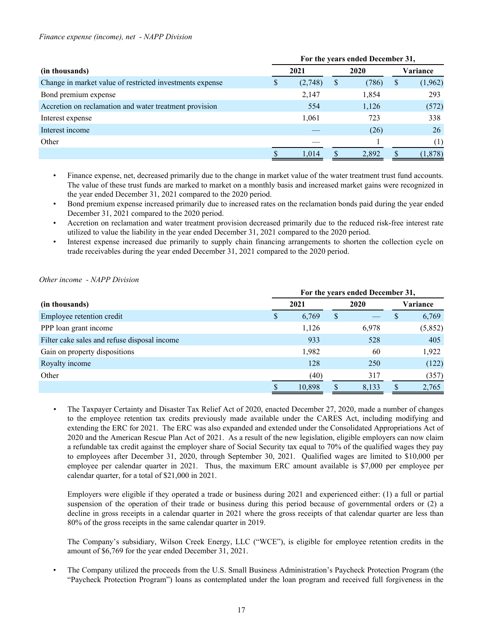#### *Finance expense (income), net - NAPP Division*

|                                                          | For the years ended December 31, |         |   |       |    |          |  |
|----------------------------------------------------------|----------------------------------|---------|---|-------|----|----------|--|
| (in thousands)                                           |                                  | 2021    |   | 2020  |    | Variance |  |
| Change in market value of restricted investments expense | Φ                                | (2,748) | S | (786) | \$ | (1,962)  |  |
| Bond premium expense                                     |                                  | 2,147   |   | 1,854 |    | 293      |  |
| Accretion on reclamation and water treatment provision   |                                  | 554     |   | 1,126 |    | (572)    |  |
| Interest expense                                         |                                  | 1,061   |   | 723   |    | 338      |  |
| Interest income                                          |                                  |         |   | (26)  |    | 26       |  |
| Other                                                    |                                  |         |   |       |    | (1)      |  |
|                                                          |                                  | 1.014   |   | 2,892 |    | (1, 878) |  |

• Finance expense, net, decreased primarily due to the change in market value of the water treatment trust fund accounts. The value of these trust funds are marked to market on a monthly basis and increased market gains were recognized in the year ended December 31, 2021 compared to the 2020 period.

• Bond premium expense increased primarily due to increased rates on the reclamation bonds paid during the year ended December 31, 2021 compared to the 2020 period.

• Accretion on reclamation and water treatment provision decreased primarily due to the reduced risk-free interest rate utilized to value the liability in the year ended December 31, 2021 compared to the 2020 period.

• Interest expense increased due primarily to supply chain financing arrangements to shorten the collection cycle on trade receivables during the year ended December 31, 2021 compared to the 2020 period.

## *Other income - NAPP Division*

|                                              | For the years ended December 31, |        |   |       |   |          |  |  |  |  |  |  |
|----------------------------------------------|----------------------------------|--------|---|-------|---|----------|--|--|--|--|--|--|
| (in thousands)                               |                                  | 2021   |   | 2020  |   | Variance |  |  |  |  |  |  |
| Employee retention credit                    | <sup>S</sup>                     | 6,769  | S |       | S | 6,769    |  |  |  |  |  |  |
| PPP loan grant income                        |                                  | 1,126  |   | 6,978 |   | (5,852)  |  |  |  |  |  |  |
| Filter cake sales and refuse disposal income |                                  | 933    |   | 528   |   | 405      |  |  |  |  |  |  |
| Gain on property dispositions                |                                  | 1,982  |   | 60    |   | 1,922    |  |  |  |  |  |  |
| Royalty income                               |                                  | 128    |   | 250   |   | (122)    |  |  |  |  |  |  |
| Other                                        |                                  | (40)   |   | 317   |   | (357)    |  |  |  |  |  |  |
|                                              |                                  | 10,898 |   | 8,133 |   | 2,765    |  |  |  |  |  |  |

*•* The Taxpayer Certainty and Disaster Tax Relief Act of 2020, enacted December 27, 2020, made a number of changes to the employee retention tax credits previously made available under the CARES Act, including modifying and extending the ERC for 2021. The ERC was also expanded and extended under the Consolidated Appropriations Act of 2020 and the American Rescue Plan Act of 2021. As a result of the new legislation, eligible employers can now claim a refundable tax credit against the employer share of Social Security tax equal to 70% of the qualified wages they pay to employees after December 31, 2020, through September 30, 2021. Qualified wages are limited to \$10,000 per employee per calendar quarter in 2021. Thus, the maximum ERC amount available is \$7,000 per employee per calendar quarter, for a total of \$21,000 in 2021.

Employers were eligible if they operated a trade or business during 2021 and experienced either: (1) a full or partial suspension of the operation of their trade or business during this period because of governmental orders or (2) a decline in gross receipts in a calendar quarter in 2021 where the gross receipts of that calendar quarter are less than 80% of the gross receipts in the same calendar quarter in 2019.

The Company's subsidiary, Wilson Creek Energy, LLC ("WCE"), is eligible for employee retention credits in the amount of \$6,769 for the year ended December 31, 2021.

• The Company utilized the proceeds from the U.S. Small Business Administration's Paycheck Protection Program (the "Paycheck Protection Program") loans as contemplated under the loan program and received full forgiveness in the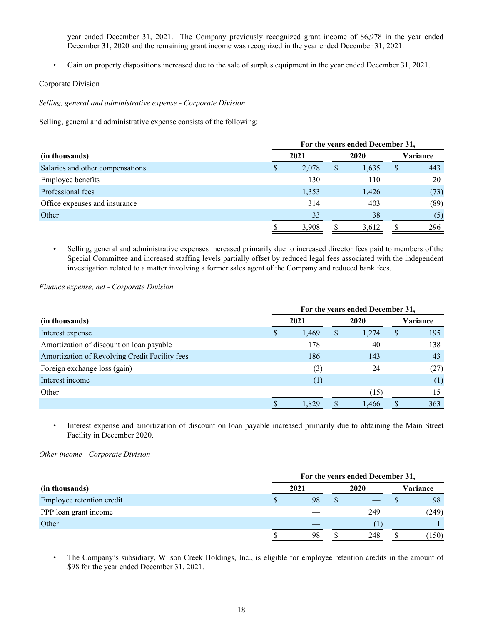year ended December 31, 2021. The Company previously recognized grant income of \$6,978 in the year ended December 31, 2020 and the remaining grant income was recognized in the year ended December 31, 2021.

• Gain on property dispositions increased due to the sale of surplus equipment in the year ended December 31, 2021.

# Corporate Division

*Selling, general and administrative expense - Corporate Division*

Selling, general and administrative expense consists of the following:

|                                  |   | For the years ended December 31, |   |       |              |          |  |  |  |  |  |  |  |
|----------------------------------|---|----------------------------------|---|-------|--------------|----------|--|--|--|--|--|--|--|
| (in thousands)                   |   | 2021                             |   | 2020  |              | Variance |  |  |  |  |  |  |  |
| Salaries and other compensations | S | 2,078                            | S | 1,635 | <sup>S</sup> | 443      |  |  |  |  |  |  |  |
| <b>Employee benefits</b>         |   | 130                              |   | 110   |              | 20       |  |  |  |  |  |  |  |
| Professional fees                |   | 1,353                            |   | 1,426 |              | (73)     |  |  |  |  |  |  |  |
| Office expenses and insurance    |   | 314                              |   | 403   |              | (89)     |  |  |  |  |  |  |  |
| Other                            |   | 33                               |   | 38    |              | (5)      |  |  |  |  |  |  |  |
|                                  |   | 3,908                            |   | 3,612 |              | 296      |  |  |  |  |  |  |  |

• Selling, general and administrative expenses increased primarily due to increased director fees paid to members of the Special Committee and increased staffing levels partially offset by reduced legal fees associated with the independent investigation related to a matter involving a former sales agent of the Company and reduced bank fees.

#### *Finance expense, net - Corporate Division*

|                                                | For the years ended December 31, |       |    |       |   |          |  |  |  |  |  |  |
|------------------------------------------------|----------------------------------|-------|----|-------|---|----------|--|--|--|--|--|--|
| (in thousands)                                 |                                  | 2021  |    |       |   | Variance |  |  |  |  |  |  |
| Interest expense                               |                                  | 1,469 | \$ | 1,274 | S | 195      |  |  |  |  |  |  |
| Amortization of discount on loan payable       |                                  | 178   |    | 40    |   | 138      |  |  |  |  |  |  |
| Amortization of Revolving Credit Facility fees |                                  | 186   |    | 143   |   | 43       |  |  |  |  |  |  |
| Foreign exchange loss (gain)                   |                                  | (3)   |    | 24    |   | (27)     |  |  |  |  |  |  |
| Interest income                                |                                  | (1)   |    |       |   | (1)      |  |  |  |  |  |  |
| Other                                          |                                  |       |    | (15)  |   | 15       |  |  |  |  |  |  |
|                                                |                                  | 1,829 |    | 1,466 |   | 363      |  |  |  |  |  |  |

• Interest expense and amortization of discount on loan payable increased primarily due to obtaining the Main Street Facility in December 2020.

*Other income - Corporate Division*

|                           |  | For the years ended December 31, |  |      |          |       |  |  |  |  |  |  |  |
|---------------------------|--|----------------------------------|--|------|----------|-------|--|--|--|--|--|--|--|
| (in thousands)            |  | 2021                             |  | 2020 | Variance |       |  |  |  |  |  |  |  |
| Employee retention credit |  | 98                               |  |      |          | 98    |  |  |  |  |  |  |  |
| PPP loan grant income     |  |                                  |  | 249  |          | (249) |  |  |  |  |  |  |  |
| Other                     |  |                                  |  |      |          |       |  |  |  |  |  |  |  |
|                           |  | 98                               |  | 248  |          | 150)  |  |  |  |  |  |  |  |

• The Company's subsidiary, Wilson Creek Holdings, Inc., is eligible for employee retention credits in the amount of \$98 for the year ended December 31, 2021.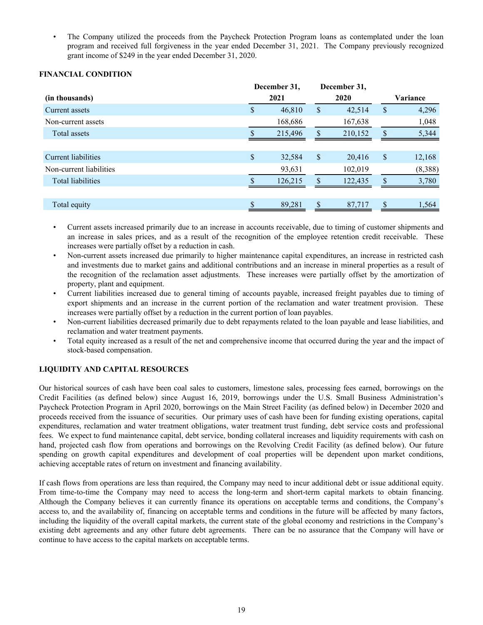<span id="page-18-0"></span>• The Company utilized the proceeds from the Paycheck Protection Program loans as contemplated under the loan program and received full forgiveness in the year ended December 31, 2021. The Company previously recognized grant income of \$249 in the year ended December 31, 2020.

## **FINANCIAL CONDITION**

|                          | December 31,              |         |                           | December 31, |     |          |
|--------------------------|---------------------------|---------|---------------------------|--------------|-----|----------|
| (in thousands)           |                           | 2021    |                           | 2020         |     | Variance |
| Current assets           | \$                        | 46,810  | \$                        | 42,514       | \$  | 4,296    |
| Non-current assets       |                           | 168,686 |                           | 167,638      |     | 1,048    |
| Total assets             |                           | 215,496 | \$.                       | 210,152      | \$. | 5,344    |
|                          |                           |         |                           |              |     |          |
| Current liabilities      | $\boldsymbol{\mathsf{S}}$ | 32,584  | $\boldsymbol{\mathsf{S}}$ | 20,416       | \$  | 12,168   |
| Non-current liabilities  |                           | 93,631  |                           | 102,019      |     | (8,388)  |
| <b>Total liabilities</b> |                           | 126,215 |                           | 122,435      | \$. | 3,780    |
|                          |                           |         |                           |              |     |          |
| Total equity             |                           | 89,281  |                           | 87,717       | \$. | 1,564    |
|                          |                           |         |                           |              |     |          |

• Current assets increased primarily due to an increase in accounts receivable, due to timing of customer shipments and an increase in sales prices, and as a result of the recognition of the employee retention credit receivable. These increases were partially offset by a reduction in cash.

- Non-current assets increased due primarily to higher maintenance capital expenditures, an increase in restricted cash and investments due to market gains and additional contributions and an increase in mineral properties as a result of the recognition of the reclamation asset adjustments. These increases were partially offset by the amortization of property, plant and equipment.
- Current liabilities increased due to general timing of accounts payable, increased freight payables due to timing of export shipments and an increase in the current portion of the reclamation and water treatment provision. These increases were partially offset by a reduction in the current portion of loan payables.
- Non-current liabilities decreased primarily due to debt repayments related to the loan payable and lease liabilities, and reclamation and water treatment payments.
- Total equity increased as a result of the net and comprehensive income that occurred during the year and the impact of stock-based compensation.

# **LIQUIDITY AND CAPITAL RESOURCES**

Our historical sources of cash have been coal sales to customers, limestone sales, processing fees earned, borrowings on the Credit Facilities (as defined below) since August 16, 2019, borrowings under the U.S. Small Business Administration's Paycheck Protection Program in April 2020, borrowings on the Main Street Facility (as defined below) in December 2020 and proceeds received from the issuance of securities. Our primary uses of cash have been for funding existing operations, capital expenditures, reclamation and water treatment obligations, water treatment trust funding, debt service costs and professional fees. We expect to fund maintenance capital, debt service, bonding collateral increases and liquidity requirements with cash on hand, projected cash flow from operations and borrowings on the Revolving Credit Facility (as defined below). Our future spending on growth capital expenditures and development of coal properties will be dependent upon market conditions, achieving acceptable rates of return on investment and financing availability.

If cash flows from operations are less than required, the Company may need to incur additional debt or issue additional equity. From time-to-time the Company may need to access the long-term and short-term capital markets to obtain financing. Although the Company believes it can currently finance its operations on acceptable terms and conditions, the Company's access to, and the availability of, financing on acceptable terms and conditions in the future will be affected by many factors, including the liquidity of the overall capital markets, the current state of the global economy and restrictions in the Company's existing debt agreements and any other future debt agreements. There can be no assurance that the Company will have or continue to have access to the capital markets on acceptable terms.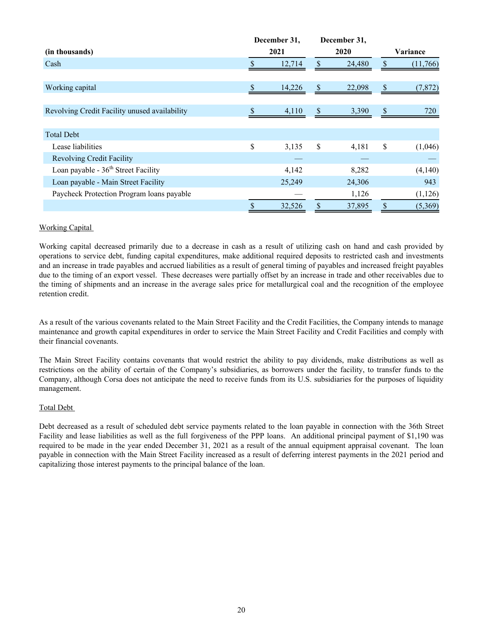|                                               | December 31, |               | December 31, |                |
|-----------------------------------------------|--------------|---------------|--------------|----------------|
| (in thousands)                                | 2021         |               | 2020         | Variance       |
| Cash                                          | 12,714       | \$            | 24,480       | \$<br>(11,766) |
|                                               |              |               |              |                |
| Working capital                               | \$<br>14,226 | \$            | 22,098       | \$<br>(7, 872) |
|                                               |              |               |              |                |
| Revolving Credit Facility unused availability | 4,110        | \$            | 3,390        | \$<br>720      |
|                                               |              |               |              |                |
| <b>Total Debt</b>                             |              |               |              |                |
| Lease liabilities                             | \$<br>3,135  | \$            | 4,181        | \$<br>(1,046)  |
| <b>Revolving Credit Facility</b>              |              |               |              |                |
| Loan payable - $36th$ Street Facility         | 4,142        |               | 8,282        | (4,140)        |
| Loan payable - Main Street Facility           | 25,249       |               | 24,306       | 943            |
| Paycheck Protection Program loans payable     |              |               | 1,126        | (1, 126)       |
|                                               | \$<br>32,526 | $\mathsf{\$}$ | 37,895       | \$<br>(5,369)  |

# Working Capital

Working capital decreased primarily due to a decrease in cash as a result of utilizing cash on hand and cash provided by operations to service debt, funding capital expenditures, make additional required deposits to restricted cash and investments and an increase in trade payables and accrued liabilities as a result of general timing of payables and increased freight payables due to the timing of an export vessel. These decreases were partially offset by an increase in trade and other receivables due to the timing of shipments and an increase in the average sales price for metallurgical coal and the recognition of the employee retention credit.

As a result of the various covenants related to the Main Street Facility and the Credit Facilities, the Company intends to manage maintenance and growth capital expenditures in order to service the Main Street Facility and Credit Facilities and comply with their financial covenants.

The Main Street Facility contains covenants that would restrict the ability to pay dividends, make distributions as well as restrictions on the ability of certain of the Company's subsidiaries, as borrowers under the facility, to transfer funds to the Company, although Corsa does not anticipate the need to receive funds from its U.S. subsidiaries for the purposes of liquidity management.

## Total Debt

Debt decreased as a result of scheduled debt service payments related to the loan payable in connection with the 36th Street Facility and lease liabilities as well as the full forgiveness of the PPP loans. An additional principal payment of \$1,190 was required to be made in the year ended December 31, 2021 as a result of the annual equipment appraisal covenant. The loan payable in connection with the Main Street Facility increased as a result of deferring interest payments in the 2021 period and capitalizing those interest payments to the principal balance of the loan.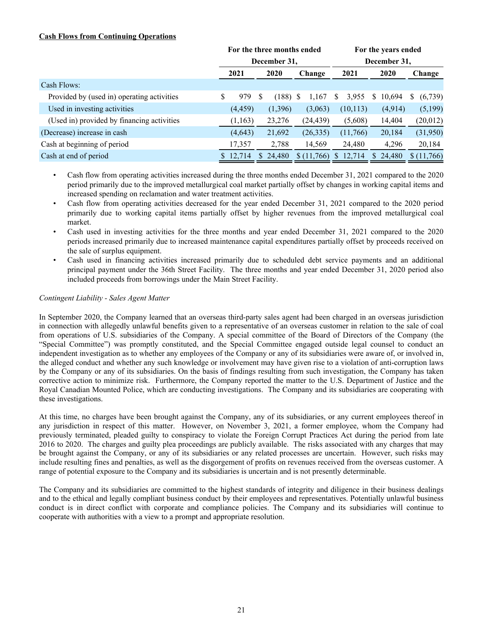# **Cash Flows from Continuing Operations**

|                                            | For the three months ended |          |              |          |              |            |      | For the years ended |   |          |   |            |  |  |  |
|--------------------------------------------|----------------------------|----------|--------------|----------|--------------|------------|------|---------------------|---|----------|---|------------|--|--|--|
|                                            |                            |          | December 31, |          | December 31, |            |      |                     |   |          |   |            |  |  |  |
|                                            | 2021                       |          |              | 2020     |              | Change     | 2021 |                     |   | 2020     |   | Change     |  |  |  |
| Cash Flows:                                |                            |          |              |          |              |            |      |                     |   |          |   |            |  |  |  |
| Provided by (used in) operating activities | S.                         | 979      | S            | (188)    | S            | 1,167      | S    | 3,955               | S | 10,694   | S | (6,739)    |  |  |  |
| Used in investing activities               |                            | (4, 459) |              | (1,396)  |              | (3,063)    |      | (10, 113)           |   | (4,914)  |   | (5,199)    |  |  |  |
| (Used in) provided by financing activities |                            | (1, 163) |              | 23,276   |              | (24, 439)  |      | (5,608)             |   | 14,404   |   | (20, 012)  |  |  |  |
| (Decrease) increase in cash                |                            | (4, 643) |              | 21,692   |              | (26, 335)  |      | (11,766)            |   | 20,184   |   | (31,950)   |  |  |  |
| Cash at beginning of period                |                            | 17,357   |              | 2,788    |              | 14,569     |      | 24,480              |   | 4,296    |   | 20,184     |  |  |  |
| Cash at end of period                      |                            | \$12,714 |              | \$24,480 |              | \$(11,766) | S.   | 12,714              |   | \$24,480 |   | \$(11,766) |  |  |  |

- Cash flow from operating activities increased during the three months ended December 31, 2021 compared to the 2020 period primarily due to the improved metallurgical coal market partially offset by changes in working capital items and increased spending on reclamation and water treatment activities.
- Cash flow from operating activities decreased for the year ended December 31, 2021 compared to the 2020 period primarily due to working capital items partially offset by higher revenues from the improved metallurgical coal market.
- Cash used in investing activities for the three months and year ended December 31, 2021 compared to the 2020 periods increased primarily due to increased maintenance capital expenditures partially offset by proceeds received on the sale of surplus equipment.
- Cash used in financing activities increased primarily due to scheduled debt service payments and an additional principal payment under the 36th Street Facility. The three months and year ended December 31, 2020 period also included proceeds from borrowings under the Main Street Facility.

## *Contingent Liability - Sales Agent Matter*

In September 2020, the Company learned that an overseas third-party sales agent had been charged in an overseas jurisdiction in connection with allegedly unlawful benefits given to a representative of an overseas customer in relation to the sale of coal from operations of U.S. subsidiaries of the Company. A special committee of the Board of Directors of the Company (the "Special Committee") was promptly constituted, and the Special Committee engaged outside legal counsel to conduct an independent investigation as to whether any employees of the Company or any of its subsidiaries were aware of, or involved in, the alleged conduct and whether any such knowledge or involvement may have given rise to a violation of anti-corruption laws by the Company or any of its subsidiaries. On the basis of findings resulting from such investigation, the Company has taken corrective action to minimize risk. Furthermore, the Company reported the matter to the U.S. Department of Justice and the Royal Canadian Mounted Police, which are conducting investigations. The Company and its subsidiaries are cooperating with these investigations.

At this time, no charges have been brought against the Company, any of its subsidiaries, or any current employees thereof in any jurisdiction in respect of this matter. However, on November 3, 2021, a former employee, whom the Company had previously terminated, pleaded guilty to conspiracy to violate the Foreign Corrupt Practices Act during the period from late 2016 to 2020. The charges and guilty plea proceedings are publicly available. The risks associated with any charges that may be brought against the Company, or any of its subsidiaries or any related processes are uncertain. However, such risks may include resulting fines and penalties, as well as the disgorgement of profits on revenues received from the overseas customer. A range of potential exposure to the Company and its subsidiaries is uncertain and is not presently determinable.

The Company and its subsidiaries are committed to the highest standards of integrity and diligence in their business dealings and to the ethical and legally compliant business conduct by their employees and representatives. Potentially unlawful business conduct is in direct conflict with corporate and compliance policies. The Company and its subsidiaries will continue to cooperate with authorities with a view to a prompt and appropriate resolution.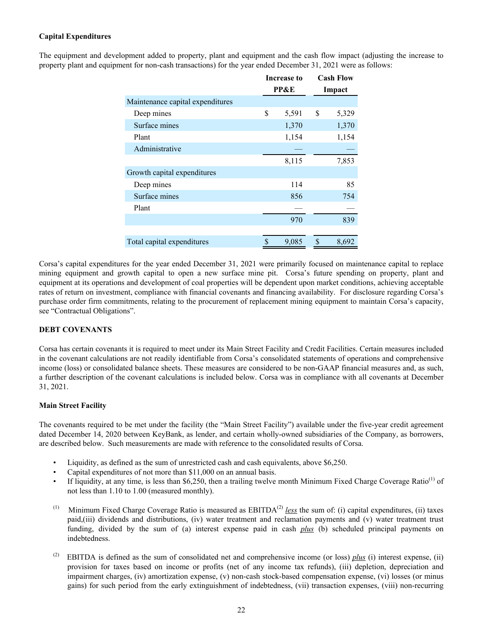# <span id="page-21-0"></span>**Capital Expenditures**

The equipment and development added to property, plant and equipment and the cash flow impact (adjusting the increase to property plant and equipment for non-cash transactions) for the year ended December 31, 2021 were as follows:

|                                  | Increase to | <b>Cash Flow</b> |
|----------------------------------|-------------|------------------|
|                                  | PP&E        | Impact           |
| Maintenance capital expenditures |             |                  |
| Deep mines                       | \$<br>5,591 | \$<br>5,329      |
| Surface mines                    | 1,370       | 1,370            |
| Plant                            | 1,154       | 1,154            |
| Administrative                   |             |                  |
|                                  | 8,115       | 7,853            |
| Growth capital expenditures      |             |                  |
| Deep mines                       | 114         | 85               |
| Surface mines                    | 856         | 754              |
| Plant                            |             |                  |
|                                  | 970         | 839              |
|                                  |             |                  |
| Total capital expenditures       | \$<br>9,085 | \$<br>8,692      |

Corsa's capital expenditures for the year ended December 31, 2021 were primarily focused on maintenance capital to replace mining equipment and growth capital to open a new surface mine pit. Corsa's future spending on property, plant and equipment at its operations and development of coal properties will be dependent upon market conditions, achieving acceptable rates of return on investment, compliance with financial covenants and financing availability. For disclosure regarding Corsa's purchase order firm commitments, relating to the procurement of replacement mining equipment to maintain Corsa's capacity, see "Contractual Obligations".

## **DEBT COVENANTS**

Corsa has certain covenants it is required to meet under its Main Street Facility and Credit Facilities. Certain measures included in the covenant calculations are not readily identifiable from Corsa's consolidated statements of operations and comprehensive income (loss) or consolidated balance sheets. These measures are considered to be non-GAAP financial measures and, as such, a further description of the covenant calculations is included below. Corsa was in compliance with all covenants at December 31, 2021.

## **Main Street Facility**

The covenants required to be met under the facility (the "Main Street Facility") available under the five-year credit agreement dated December 14, 2020 between KeyBank, as lender, and certain wholly-owned subsidiaries of the Company, as borrowers, are described below. Such measurements are made with reference to the consolidated results of Corsa.

- Liquidity, as defined as the sum of unrestricted cash and cash equivalents, above \$6,250.
- Capital expenditures of not more than \$11,000 on an annual basis.
- If liquidity, at any time, is less than \$6,250, then a trailing twelve month Minimum Fixed Charge Coverage Ratio<sup>(1)</sup> of not less than 1.10 to 1.00 (measured monthly).
- (1) Minimum Fixed Charge Coverage Ratio is measured as  $EBITDA<sup>(2)</sup>$  less the sum of: (i) capital expenditures, (ii) taxes paid,(iii) dividends and distributions, (iv) water treatment and reclamation payments and (v) water treatment trust funding, divided by the sum of (a) interest expense paid in cash *plus* (b) scheduled principal payments on indebtedness.
- (2) EBITDA is defined as the sum of consolidated net and comprehensive income (or loss) *plus* (i) interest expense, (ii) provision for taxes based on income or profits (net of any income tax refunds), (iii) depletion, depreciation and impairment charges, (iv) amortization expense, (v) non-cash stock-based compensation expense, (vi) losses (or minus gains) for such period from the early extinguishment of indebtedness, (vii) transaction expenses, (viii) non-recurring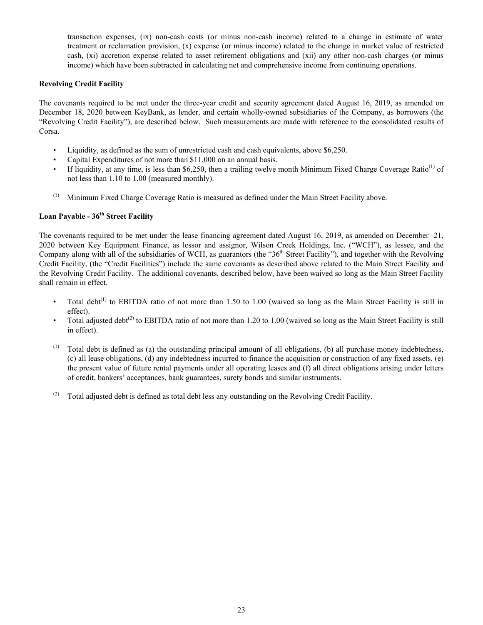transaction expenses, (ix) non-cash costs (or minus non-cash income) related to a change in estimate of water treatment or reclamation provision, (x) expense (or minus income) related to the change in market value of restricted cash, (xi) accretion expense related to asset retirement obligations and (xii) any other non-cash charges (or minus income) which have been subtracted in calculating net and comprehensive income from continuing operations.

## **Revolving Credit Facility**

The covenants required to be met under the three-year credit and security agreement dated August 16, 2019, as amended on December 18, 2020 between KeyBank, as lender, and certain wholly-owned subsidiaries of the Company, as borrowers (the "Revolving Credit Facility"), are described below. Such measurements are made with reference to the consolidated results of Corsa.

- Liquidity, as defined as the sum of unrestricted cash and cash equivalents, above \$6,250.
- Capital Expenditures of not more than \$11,000 on an annual basis.
- If liquidity, at any time, is less than \$6,250, then a trailing twelve month Minimum Fixed Charge Coverage Ratio<sup>(1)</sup> of not less than 1.10 to 1.00 (measured monthly).
- (1) Minimum Fixed Charge Coverage Ratio is measured as defined under the Main Street Facility above.

# **Loan Payable - 36th Street Facility**

The covenants required to be met under the lease financing agreement dated August 16, 2019, as amended on December 21, 2020 between Key Equipment Finance, as lessor and assignor, Wilson Creek Holdings, Inc. ("WCH"), as lessee, and the Company along with all of the subsidiaries of WCH, as guarantors (the "36<sup>th</sup> Street Facility"), and together with the Revolving Credit Facility, (the "Credit Facilities") include the same covenants as described above related to the Main Street Facility and the Revolving Credit Facility. The additional covenants, described below, have been waived so long as the Main Street Facility shall remain in effect.

- Total debt<sup>(1)</sup> to EBITDA ratio of not more than 1.50 to 1.00 (waived so long as the Main Street Facility is still in effect).
- Total adjusted debt<sup>(2)</sup> to EBITDA ratio of not more than 1.20 to 1.00 (waived so long as the Main Street Facility is still in effect).
- (1) Total debt is defined as (a) the outstanding principal amount of all obligations, (b) all purchase money indebtedness, (c) all lease obligations, (d) any indebtedness incurred to finance the acquisition or construction of any fixed assets, (e) the present value of future rental payments under all operating leases and (f) all direct obligations arising under letters of credit, bankers' acceptances, bank guarantees, surety bonds and similar instruments.
- (2) Total adjusted debt is defined as total debt less any outstanding on the Revolving Credit Facility.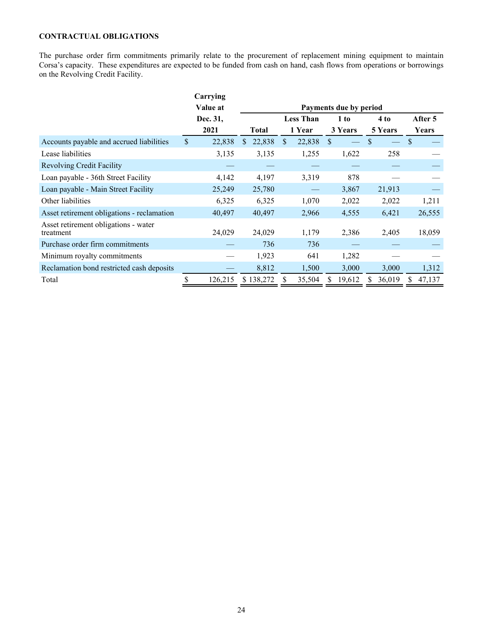# <span id="page-23-0"></span>**CONTRACTUAL OBLIGATIONS**

The purchase order firm commitments primarily relate to the procurement of replacement mining equipment to maintain Corsa's capacity. These expenditures are expected to be funded from cash on hand, cash flows from operations or borrowings on the Revolving Credit Facility.

|                                                   |              | Carrying |                         |                  |        |              |                        |         |               |         |
|---------------------------------------------------|--------------|----------|-------------------------|------------------|--------|--------------|------------------------|---------|---------------|---------|
|                                                   |              | Value at |                         |                  |        |              | Payments due by period |         |               |         |
|                                                   |              | Dec. 31, |                         | <b>Less Than</b> |        |              | 1 to                   | 4 to    |               | After 5 |
|                                                   |              | 2021     | <b>Total</b>            |                  | 1 Year |              | 3 Years                | 5 Years |               | Years   |
| Accounts payable and accrued liabilities          | $\mathbb{S}$ | 22,838   | 22,838<br>$\mathcal{S}$ | \$.              | 22,838 | $\mathbf{s}$ |                        | \$      | <sup>\$</sup> |         |
| Lease liabilities                                 |              | 3,135    | 3,135                   |                  | 1,255  |              | 1,622                  | 258     |               |         |
| <b>Revolving Credit Facility</b>                  |              |          |                         |                  |        |              |                        |         |               |         |
| Loan payable - 36th Street Facility               |              | 4,142    | 4,197                   |                  | 3,319  |              | 878                    |         |               |         |
| Loan payable - Main Street Facility               |              | 25,249   | 25,780                  |                  |        |              | 3,867                  | 21,913  |               |         |
| Other liabilities                                 |              | 6,325    | 6,325                   |                  | 1,070  |              | 2,022                  | 2,022   |               | 1,211   |
| Asset retirement obligations - reclamation        |              | 40,497   | 40,497                  |                  | 2,966  |              | 4,555                  | 6,421   |               | 26,555  |
| Asset retirement obligations - water<br>treatment |              | 24,029   | 24,029                  |                  | 1,179  |              | 2,386                  | 2,405   |               | 18,059  |
| Purchase order firm commitments                   |              |          | 736                     |                  | 736    |              |                        |         |               |         |
| Minimum royalty commitments                       |              |          | 1,923                   |                  | 641    |              | 1,282                  |         |               |         |
| Reclamation bond restricted cash deposits         |              |          | 8,812                   |                  | 1,500  |              | 3,000                  | 3,000   |               | 1,312   |
| Total                                             |              | 126,215  | \$138,272               |                  | 35,504 |              | 19,612                 | 36,019  |               | 47,137  |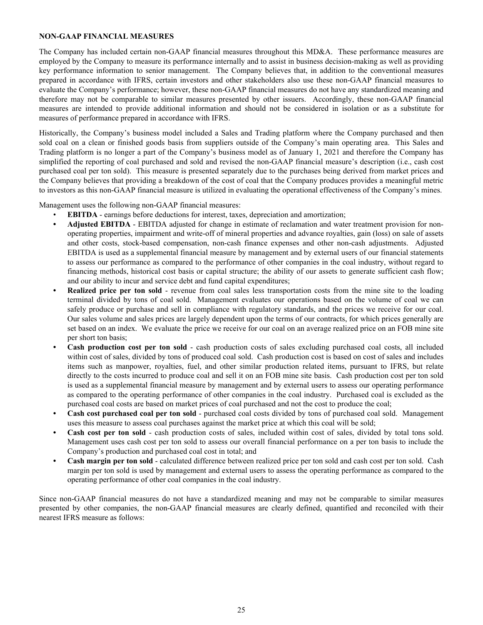## <span id="page-24-0"></span>**NON-GAAP FINANCIAL MEASURES**

The Company has included certain non-GAAP financial measures throughout this MD&A. These performance measures are employed by the Company to measure its performance internally and to assist in business decision-making as well as providing key performance information to senior management. The Company believes that, in addition to the conventional measures prepared in accordance with IFRS, certain investors and other stakeholders also use these non-GAAP financial measures to evaluate the Company's performance; however, these non-GAAP financial measures do not have any standardized meaning and therefore may not be comparable to similar measures presented by other issuers. Accordingly, these non-GAAP financial measures are intended to provide additional information and should not be considered in isolation or as a substitute for measures of performance prepared in accordance with IFRS.

Historically, the Company's business model included a Sales and Trading platform where the Company purchased and then sold coal on a clean or finished goods basis from suppliers outside of the Company's main operating area. This Sales and Trading platform is no longer a part of the Company's business model as of January 1, 2021 and therefore the Company has simplified the reporting of coal purchased and sold and revised the non-GAAP financial measure's description (i.e., cash cost purchased coal per ton sold). This measure is presented separately due to the purchases being derived from market prices and the Company believes that providing a breakdown of the cost of coal that the Company produces provides a meaningful metric to investors as this non-GAAP financial measure is utilized in evaluating the operational effectiveness of the Company's mines.

Management uses the following non-GAAP financial measures:

- **EBITDA** earnings before deductions for interest, taxes, depreciation and amortization;
- **• Adjusted EBITDA** EBITDA adjusted for change in estimate of reclamation and water treatment provision for nonoperating properties, impairment and write-off of mineral properties and advance royalties, gain (loss) on sale of assets and other costs, stock-based compensation, non-cash finance expenses and other non-cash adjustments. Adjusted EBITDA is used as a supplemental financial measure by management and by external users of our financial statements to assess our performance as compared to the performance of other companies in the coal industry, without regard to financing methods, historical cost basis or capital structure; the ability of our assets to generate sufficient cash flow; and our ability to incur and service debt and fund capital expenditures;
- **Realized price per ton sold** revenue from coal sales less transportation costs from the mine site to the loading terminal divided by tons of coal sold. Management evaluates our operations based on the volume of coal we can safely produce or purchase and sell in compliance with regulatory standards, and the prices we receive for our coal. Our sales volume and sales prices are largely dependent upon the terms of our contracts, for which prices generally are set based on an index. We evaluate the price we receive for our coal on an average realized price on an FOB mine site per short ton basis;
- **• Cash production cost per ton sold** cash production costs of sales excluding purchased coal costs, all included within cost of sales, divided by tons of produced coal sold. Cash production cost is based on cost of sales and includes items such as manpower, royalties, fuel, and other similar production related items, pursuant to IFRS, but relate directly to the costs incurred to produce coal and sell it on an FOB mine site basis. Cash production cost per ton sold is used as a supplemental financial measure by management and by external users to assess our operating performance as compared to the operating performance of other companies in the coal industry. Purchased coal is excluded as the purchased coal costs are based on market prices of coal purchased and not the cost to produce the coal;
- **• Cash cost purchased coal per ton sold** purchased coal costs divided by tons of purchased coal sold. Management uses this measure to assess coal purchases against the market price at which this coal will be sold;
- **• Cash cost per ton sold** cash production costs of sales, included within cost of sales, divided by total tons sold. Management uses cash cost per ton sold to assess our overall financial performance on a per ton basis to include the Company's production and purchased coal cost in total; and
- **• Cash margin per ton sold** calculated difference between realized price per ton sold and cash cost per ton sold. Cash margin per ton sold is used by management and external users to assess the operating performance as compared to the operating performance of other coal companies in the coal industry.

Since non-GAAP financial measures do not have a standardized meaning and may not be comparable to similar measures presented by other companies, the non-GAAP financial measures are clearly defined, quantified and reconciled with their nearest IFRS measure as follows: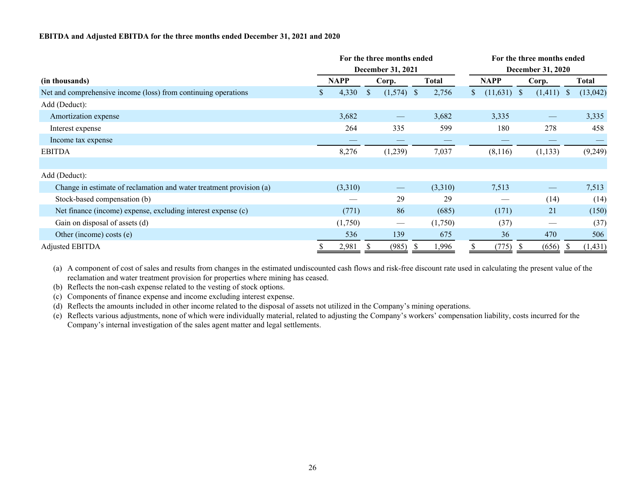# **EBITDA and Adjusted EBITDA for the three months ended December 31, 2021 and 2020**

| For the three months ended                                          |    |         |              |                   |                          |         |    | For the three months ended |  |                   |              |          |  |  |  |  |
|---------------------------------------------------------------------|----|---------|--------------|-------------------|--------------------------|---------|----|----------------------------|--|-------------------|--------------|----------|--|--|--|--|
|                                                                     |    |         |              | December 31, 2021 | <b>December 31, 2020</b> |         |    |                            |  |                   |              |          |  |  |  |  |
| (in thousands)                                                      |    | NAPP    |              | Corp.             | <b>Total</b>             |         |    | <b>NAPP</b>                |  | Corp.             |              | Total    |  |  |  |  |
| Net and comprehensive income (loss) from continuing operations      | D. | 4,330   | $\mathbb{S}$ | $(1,574)$ \$      |                          | 2,756   | S. | $(11,631)$ \$              |  | (1, 411)          | <sup>S</sup> | (13,042) |  |  |  |  |
| Add (Deduct):                                                       |    |         |              |                   |                          |         |    |                            |  |                   |              |          |  |  |  |  |
| Amortization expense                                                |    | 3,682   |              | $\hspace{0.05cm}$ |                          | 3,682   |    | 3,335                      |  | $\hspace{0.05cm}$ |              | 3,335    |  |  |  |  |
| Interest expense                                                    |    | 264     |              | 335               |                          | 599     |    | 180                        |  | 278               |              | 458      |  |  |  |  |
| Income tax expense                                                  |    |         |              |                   |                          |         |    |                            |  | __                |              |          |  |  |  |  |
| <b>EBITDA</b>                                                       |    | 8,276   |              | (1,239)           |                          | 7,037   |    | (8,116)                    |  | (1, 133)          |              | (9,249)  |  |  |  |  |
|                                                                     |    |         |              |                   |                          |         |    |                            |  |                   |              |          |  |  |  |  |
| Add (Deduct):                                                       |    |         |              |                   |                          |         |    |                            |  |                   |              |          |  |  |  |  |
| Change in estimate of reclamation and water treatment provision (a) |    | (3,310) |              |                   |                          | (3,310) |    | 7,513                      |  |                   |              | 7,513    |  |  |  |  |
| Stock-based compensation (b)                                        |    |         |              | 29                |                          | 29      |    |                            |  | (14)              |              | (14)     |  |  |  |  |
| Net finance (income) expense, excluding interest expense (c)        |    | (771)   |              | 86                |                          | (685)   |    | (171)                      |  | 21                |              | (150)    |  |  |  |  |
| Gain on disposal of assets (d)                                      |    | (1,750) |              |                   |                          | (1,750) |    | (37)                       |  |                   |              | (37)     |  |  |  |  |
| Other (income) costs (e)                                            |    | 536     |              | 139               |                          | 675     |    | 36                         |  | 470               |              | 506      |  |  |  |  |
| Adjusted EBITDA                                                     |    | 2,981   |              | (985)             |                          | 1,996   |    | (775)                      |  | (656)             |              | (1, 431) |  |  |  |  |

(a) A component of cost of sales and results from changes in the estimated undiscounted cash flows and risk-free discount rate used in calculating the present value of the reclamation and water treatment provision for properties where mining has ceased.

(b) Reflects the non-cash expense related to the vesting of stock options.

(c) Components of finance expense and income excluding interest expense.

(d) Reflects the amounts included in other income related to the disposal of assets not utilized in the Company's mining operations.

(e) Reflects various adjustments, none of which were individually material, related to adjusting the Company's workers' compensation liability, costs incurred for the Company's internal investigation of the sales agent matter and legal settlements.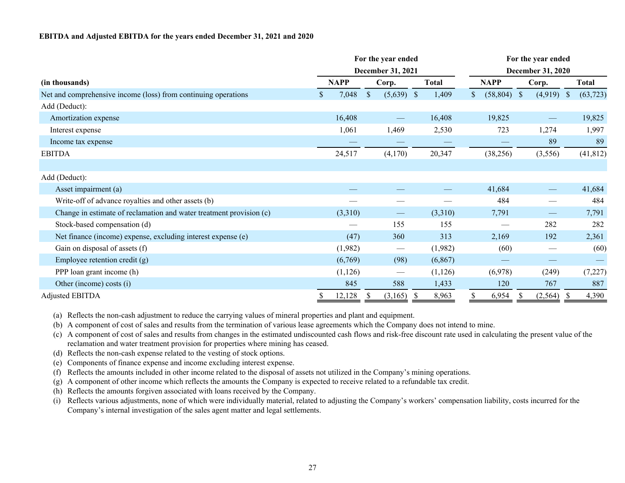#### **EBITDA and Adjusted EBITDA for the years ended December 31, 2021 and 2020**

| For the year ended                                                  |    |             |               |                                 |      |              |                   | For the year ended |               |                          |               |              |  |  |  |  |  |
|---------------------------------------------------------------------|----|-------------|---------------|---------------------------------|------|--------------|-------------------|--------------------|---------------|--------------------------|---------------|--------------|--|--|--|--|--|
|                                                                     |    |             |               | December 31, 2021               |      |              | December 31, 2020 |                    |               |                          |               |              |  |  |  |  |  |
| (in thousands)                                                      |    | <b>NAPP</b> |               | Corp.                           |      | <b>Total</b> |                   | <b>NAPP</b>        | Corp.         |                          |               | <b>Total</b> |  |  |  |  |  |
| Net and comprehensive income (loss) from continuing operations      | S. | 7,048       | $\mathbb{S}$  | $(5,639)$ \$                    |      | 1,409        | \$                | $(58,804)$ \$      |               | (4,919)                  | $\mathcal{S}$ | (63, 723)    |  |  |  |  |  |
| Add (Deduct):                                                       |    |             |               |                                 |      |              |                   |                    |               |                          |               |              |  |  |  |  |  |
| Amortization expense                                                |    | 16,408      |               | $\overline{\phantom{0}}$        |      | 16,408       |                   | 19,825             |               | $\hspace{0.05cm}$        |               | 19,825       |  |  |  |  |  |
| Interest expense                                                    |    | 1,061       |               | 1,469                           |      | 2,530        |                   | 723                |               | 1,274                    |               | 1,997        |  |  |  |  |  |
| Income tax expense                                                  |    |             |               |                                 |      |              |                   |                    |               | 89                       |               | 89           |  |  |  |  |  |
| <b>EBITDA</b>                                                       |    | 24,517      |               | (4,170)                         |      | 20,347       |                   | (38, 256)          |               | (3,556)                  |               | (41, 812)    |  |  |  |  |  |
|                                                                     |    |             |               |                                 |      |              |                   |                    |               |                          |               |              |  |  |  |  |  |
| Add (Deduct):                                                       |    |             |               |                                 |      |              |                   |                    |               |                          |               |              |  |  |  |  |  |
| Asset impairment (a)                                                |    |             |               |                                 |      |              |                   | 41,684             |               | $\overline{\phantom{0}}$ |               | 41,684       |  |  |  |  |  |
| Write-off of advance royalties and other assets (b)                 |    |             |               |                                 |      |              |                   | 484                |               |                          |               | 484          |  |  |  |  |  |
| Change in estimate of reclamation and water treatment provision (c) |    | (3,310)     |               |                                 |      | (3,310)      |                   | 7,791              |               | $\hspace{0.05cm}$        |               | 7,791        |  |  |  |  |  |
| Stock-based compensation (d)                                        |    |             |               | 155                             |      | 155          |                   |                    |               | 282                      |               | 282          |  |  |  |  |  |
| Net finance (income) expense, excluding interest expense (e)        |    | (47)        |               | 360                             |      | 313          |                   | 2,169              |               | 192                      |               | 2,361        |  |  |  |  |  |
| Gain on disposal of assets (f)                                      |    | (1,982)     |               | $\hspace{0.1mm}-\hspace{0.1mm}$ |      | (1,982)      |                   | (60)               |               | $\hspace{0.05cm}$        |               | (60)         |  |  |  |  |  |
| Employee retention credit (g)                                       |    | (6,769)     |               | (98)                            |      | (6, 867)     |                   |                    |               |                          |               |              |  |  |  |  |  |
| PPP loan grant income (h)                                           |    | (1, 126)    |               |                                 |      | (1, 126)     |                   | (6,978)            |               | (249)                    |               | (7,227)      |  |  |  |  |  |
| Other (income) costs (i)                                            |    | 845         |               | 588                             |      | 1,433        |                   | 120                |               | 767                      |               | 887          |  |  |  |  |  |
| <b>Adjusted EBITDA</b>                                              | \$ | 12,128      | <sup>\$</sup> | (3,165)                         | - \$ | 8,963        | \$                | 6,954              | <sup>\$</sup> | (2, 564)                 | - S           | 4,390        |  |  |  |  |  |

(a) Reflects the non-cash adjustment to reduce the carrying values of mineral properties and plant and equipment.

(b) A component of cost of sales and results from the termination of various lease agreements which the Company does not intend to mine.

(c) A component of cost of sales and results from changes in the estimated undiscounted cash flows and risk-free discount rate used in calculating the present value of the reclamation and water treatment provision for properties where mining has ceased.

- (d) Reflects the non-cash expense related to the vesting of stock options.
- (e) Components of finance expense and income excluding interest expense.
- (f) Reflects the amounts included in other income related to the disposal of assets not utilized in the Company's mining operations.
- (g) A component of other income which reflects the amounts the Company is expected to receive related to a refundable tax credit.
- (h) Reflects the amounts forgiven associated with loans received by the Company.
- (i) Reflects various adjustments, none of which were individually material, related to adjusting the Company's workers' compensation liability, costs incurred for the Company's internal investigation of the sales agent matter and legal settlements.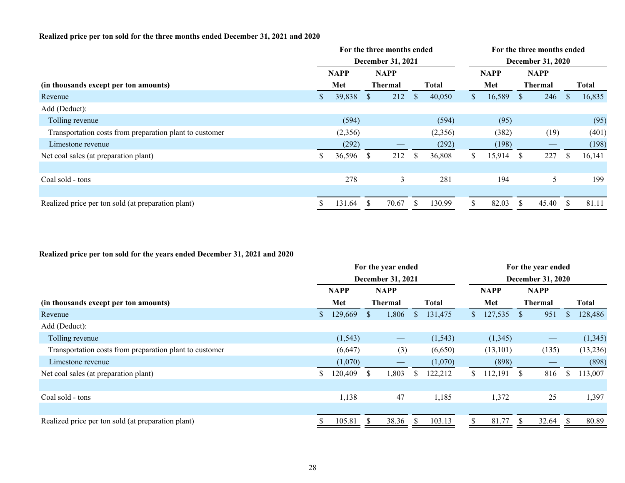# **Realized price per ton sold for the three months ended December 31, 2021 and 2020**

| For the three months ended |         |                |       |               |                   |                          | For the three months ended |                |                          |    |              |  |  |  |  |
|----------------------------|---------|----------------|-------|---------------|-------------------|--------------------------|----------------------------|----------------|--------------------------|----|--------------|--|--|--|--|
|                            |         |                |       |               |                   | <b>December 31, 2020</b> |                            |                |                          |    |              |  |  |  |  |
| <b>NAPP</b>                |         | <b>NAPP</b>    |       |               |                   | <b>NAPP</b>              |                            | <b>NAPP</b>    |                          |    |              |  |  |  |  |
|                            | Met     | <b>Thermal</b> |       | <b>Total</b>  |                   |                          | Met                        | <b>Thermal</b> |                          |    | <b>Total</b> |  |  |  |  |
|                            | 39,838  | <sup>S</sup>   | 212   | <sup>\$</sup> | 40,050            | S.                       | 16,589                     | <sup>S</sup>   | 246                      |    | 16,835       |  |  |  |  |
|                            |         |                |       |               |                   |                          |                            |                |                          |    |              |  |  |  |  |
|                            | (594)   |                |       |               | (594)             |                          | (95)                       |                |                          |    | (95)         |  |  |  |  |
|                            | (2,356) |                |       |               | (2,356)           |                          | (382)                      |                | (19)                     |    | (401)        |  |  |  |  |
|                            | (292)   |                |       |               | (292)             |                          | (198)                      |                | $\overline{\phantom{a}}$ |    | (198)        |  |  |  |  |
| ъ                          | 36,596  | <sup>S</sup>   | 212   | -S            | 36,808            |                          | 15,914                     | <sup>S</sup>   | 227                      | -S | 16,141       |  |  |  |  |
|                            |         |                |       |               |                   |                          |                            |                |                          |    |              |  |  |  |  |
|                            | 278     |                | 3     |               | 281               |                          | 194                        |                | 5                        |    | 199          |  |  |  |  |
|                            |         |                |       |               |                   |                          |                            |                |                          |    |              |  |  |  |  |
|                            | 131.64  | ъ              | 70.67 |               | 130.99            |                          | 82.03                      | -S             | 45.40                    |    | 81.11        |  |  |  |  |
|                            |         |                |       |               | December 31, 2021 |                          |                            |                |                          |    |              |  |  |  |  |

# **Realized price per ton sold for the years ended December 31, 2021 and 2020**

|                                                         | For the year ended<br><b>December 31, 2021</b> |             |              |                   |              |              | For the year ended<br><b>December 31, 2020</b> |             |              |                   |     |              |  |
|---------------------------------------------------------|------------------------------------------------|-------------|--------------|-------------------|--------------|--------------|------------------------------------------------|-------------|--------------|-------------------|-----|--------------|--|
|                                                         |                                                |             |              |                   |              |              |                                                |             |              |                   |     |              |  |
|                                                         |                                                | <b>NAPP</b> |              | <b>NAPP</b>       |              |              |                                                | <b>NAPP</b> |              | <b>NAPP</b>       |     |              |  |
| (in thousands except per ton amounts)                   |                                                | Met         |              | <b>Thermal</b>    |              | <b>Total</b> |                                                | Met         |              | <b>Thermal</b>    |     | <b>Total</b> |  |
| Revenue                                                 |                                                | 129,669     | <sup>S</sup> | 1,806             | <sup>S</sup> | 131,475      | $\mathbb{S}^-$                                 | 127,535     | <sup>S</sup> | 951               | \$  | 128,486      |  |
| Add (Deduct):                                           |                                                |             |              |                   |              |              |                                                |             |              |                   |     |              |  |
| Tolling revenue                                         |                                                | (1, 543)    |              | $\hspace{0.05cm}$ |              | (1, 543)     |                                                | (1,345)     |              | $\hspace{0.05cm}$ |     | (1, 345)     |  |
| Transportation costs from preparation plant to customer |                                                | (6,647)     |              | (3)               |              | (6,650)      |                                                | (13, 101)   |              | (135)             |     | (13,236)     |  |
| Limestone revenue                                       |                                                | (1,070)     |              |                   |              | (1,070)      |                                                | (898)       |              |                   |     | (898)        |  |
| Net coal sales (at preparation plant)                   | S.                                             | 120,409     | <sup>S</sup> | 1,803             | S            | 122,212      | S.                                             | 112,191     | <sup>S</sup> | 816               | \$. | 113,007      |  |
|                                                         |                                                |             |              |                   |              |              |                                                |             |              |                   |     |              |  |
| Coal sold - tons                                        |                                                | 1,138       |              | 47                |              | 1,185        |                                                | 1,372       |              | 25                |     | 1,397        |  |
|                                                         |                                                |             |              |                   |              |              |                                                |             |              |                   |     |              |  |
| Realized price per ton sold (at preparation plant)      |                                                | 105.81      | S            | 38.36             | -S           | 103.13       |                                                | 81.77       | <b>S</b>     | 32.64             |     | 80.89        |  |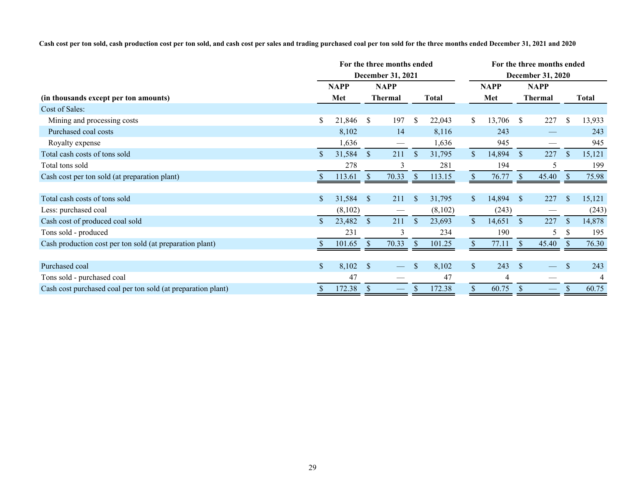**Cash cost per ton sold, cash production cost per ton sold, and cash cost per sales and trading purchased coal per ton sold for the three months ended December 31, 2021 and 2020**

|                                                              | For the three months ended |             |               |                                 |               |         | For the three months ended |             |               |                   |               |              |  |
|--------------------------------------------------------------|----------------------------|-------------|---------------|---------------------------------|---------------|---------|----------------------------|-------------|---------------|-------------------|---------------|--------------|--|
|                                                              | <b>December 31, 2021</b>   |             |               |                                 |               |         | <b>December 31, 2020</b>   |             |               |                   |               |              |  |
|                                                              |                            | <b>NAPP</b> |               | <b>NAPP</b>                     |               |         |                            | <b>NAPP</b> |               | <b>NAPP</b>       |               |              |  |
| (in thousands except per ton amounts)                        |                            | Met         |               | <b>Thermal</b>                  |               | Total   |                            | Met         |               | <b>Thermal</b>    |               | <b>Total</b> |  |
| Cost of Sales:                                               |                            |             |               |                                 |               |         |                            |             |               |                   |               |              |  |
| Mining and processing costs                                  | \$                         | 21,846      | $\mathbb{S}$  | 197                             | $\mathcal{S}$ | 22,043  | S.                         | 13,706      | <sup>S</sup>  | 227               | \$            | 13,933       |  |
| Purchased coal costs                                         |                            | 8,102       |               | 14                              |               | 8,116   |                            | 243         |               |                   |               | 243          |  |
| Royalty expense                                              |                            | 1,636       |               | $\overbrace{\qquad \qquad }^{}$ |               | 1,636   |                            | 945         |               |                   |               | 945          |  |
| Total cash costs of tons sold                                | \$                         | 31,584      | $\mathbb{S}$  | 211                             | $\mathbb{S}$  | 31,795  | $\mathbb{S}$               | 14,894      | $\mathcal{S}$ | 227               | $\mathcal{S}$ | 15,121       |  |
| Total tons sold                                              |                            | 278         |               | 3                               |               | 281     |                            | 194         |               | 5                 |               | 199          |  |
| Cash cost per ton sold (at preparation plant)                |                            | 113.61      | $\mathcal{S}$ | 70.33                           | $\mathcal{S}$ | 113.15  |                            | 76.77       | $\mathcal{S}$ | 45.40             | <sup>S</sup>  | 75.98        |  |
|                                                              |                            |             |               |                                 |               |         |                            |             |               |                   |               |              |  |
| Total cash costs of tons sold                                | \$                         | 31,584      | $\sqrt{3}$    | 211                             | $\mathcal{S}$ | 31,795  | $\mathbb{S}^-$             | 14,894      | $\mathcal{S}$ | 227               | $\mathbb{S}$  | 15,121       |  |
| Less: purchased coal                                         |                            | (8,102)     |               |                                 |               | (8,102) |                            | (243)       |               |                   |               | (243)        |  |
| Cash cost of produced coal sold                              | \$                         | 23,482      | $\mathbb{S}$  | 211                             | <sup>\$</sup> | 23,693  | $\mathcal{S}$              | 14,651      | <sup>S</sup>  | 227               |               | 14,878       |  |
| Tons sold - produced                                         |                            | 231         |               | $\mathcal{E}$                   |               | 234     |                            | 190         |               | 5                 | <sup>S</sup>  | 195          |  |
| Cash production cost per ton sold (at preparation plant)     |                            | 101.65      |               | 70.33                           | <sup>\$</sup> | 101.25  |                            | 77.11       |               | 45.40             |               | 76.30        |  |
|                                                              |                            |             |               |                                 |               |         |                            |             |               |                   |               |              |  |
| Purchased coal                                               | \$                         | 8,102       | <sup>S</sup>  |                                 | $\mathbf{s}$  | 8,102   | $\mathbb{S}$               | 243         | <sup>S</sup>  |                   | <sup>S</sup>  | 243          |  |
| Tons sold - purchased coal                                   |                            | 47          |               |                                 |               | 47      |                            | 4           |               |                   |               |              |  |
| Cash cost purchased coal per ton sold (at preparation plant) |                            | 172.38      | <sup>S</sup>  | $\hspace{0.05cm}$               |               | 172.38  |                            | 60.75       | S             | $\hspace{0.05cm}$ |               | 60.75        |  |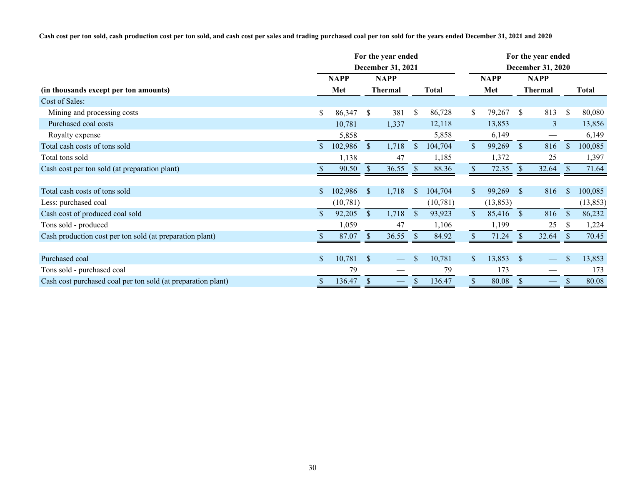**Cash cost per ton sold, cash production cost per ton sold, and cash cost per sales and trading purchased coal per ton sold for the years ended December 31, 2021 and 2020**

|                                                              | For the year ended       |             |               |                          |               |              | For the year ended |                   |               |                          |               |              |  |  |
|--------------------------------------------------------------|--------------------------|-------------|---------------|--------------------------|---------------|--------------|--------------------|-------------------|---------------|--------------------------|---------------|--------------|--|--|
|                                                              | <b>December 31, 2021</b> |             |               |                          |               |              |                    | December 31, 2020 |               |                          |               |              |  |  |
|                                                              |                          | <b>NAPP</b> |               | <b>NAPP</b>              |               |              |                    | <b>NAPP</b>       |               | <b>NAPP</b>              |               |              |  |  |
| (in thousands except per ton amounts)                        |                          | Met         |               | <b>Thermal</b>           |               | <b>Total</b> |                    | Met               |               | <b>Thermal</b>           |               | <b>Total</b> |  |  |
| Cost of Sales:                                               |                          |             |               |                          |               |              |                    |                   |               |                          |               |              |  |  |
| Mining and processing costs                                  | \$                       | 86,347      | <sup>S</sup>  | 381                      | \$            | 86,728       | S.                 | 79,267            | <sup>S</sup>  | 813                      | <sup>\$</sup> | 80,080       |  |  |
| Purchased coal costs                                         |                          | 10,781      |               | 1,337                    |               | 12,118       |                    | 13,853            |               | 3                        |               | 13,856       |  |  |
| Royalty expense                                              |                          | 5,858       |               |                          |               | 5,858        |                    | 6,149             |               | $\hspace{0.05cm}$        |               | 6,149        |  |  |
| Total cash costs of tons sold                                | $\mathbb{S}^-$           | 102,986     | $\mathcal{S}$ | 1,718                    | $\mathbb{S}$  | 104,704      | $\mathbb{S}$       | 99,269            | $\mathcal{S}$ | 816                      | $\mathcal{S}$ | 100,085      |  |  |
| Total tons sold                                              |                          | 1,138       |               | 47                       |               | 1,185        |                    | 1,372             |               | 25                       |               | 1,397        |  |  |
| Cash cost per ton sold (at preparation plant)                |                          | 90.50       | $\mathcal{S}$ | 36.55                    | <sup>S</sup>  | 88.36        |                    | 72.35             | <sup>S</sup>  | 32.64                    | -S            | 71.64        |  |  |
|                                                              |                          |             |               |                          |               |              |                    |                   |               |                          |               |              |  |  |
| Total cash costs of tons sold                                | \$                       | 102,986     | <sup>S</sup>  | 1,718                    | $\mathbf{\$}$ | 104,704      | $\mathbb{S}^-$     | 99,269            | <sup>S</sup>  | 816                      | \$            | 100,085      |  |  |
| Less: purchased coal                                         |                          | (10, 781)   |               |                          |               | (10,781)     |                    | (13, 853)         |               |                          |               | (13, 853)    |  |  |
| Cash cost of produced coal sold                              |                          | 92,205      | $\mathcal{S}$ | 1,718                    | $\mathbb{S}$  | 93,923       | $\mathbb{S}^-$     | 85,416            | <sup>S</sup>  | 816                      | <sup>S</sup>  | 86,232       |  |  |
| Tons sold - produced                                         |                          | 1,059       |               | 47                       |               | 1,106        |                    | 1,199             |               | 25                       | <sup>S</sup>  | 1,224        |  |  |
| Cash production cost per ton sold (at preparation plant)     |                          | 87.07       | <sup>\$</sup> | 36.55                    | <sup>S</sup>  | 84.92        |                    | 71.24             |               | 32.64                    |               | 70.45        |  |  |
|                                                              |                          |             |               |                          |               |              |                    |                   |               |                          |               |              |  |  |
| Purchased coal                                               |                          | 10,781      | <sup>S</sup>  |                          | <sup>\$</sup> | 10,781       | $\mathbb{S}$       | 13,853            | <sup>S</sup>  |                          | <sup>\$</sup> | 13,853       |  |  |
| Tons sold - purchased coal                                   |                          | 79          |               |                          |               | 79           |                    | 173               |               |                          |               | 173          |  |  |
| Cash cost purchased coal per ton sold (at preparation plant) |                          | 136.47      | $\mathcal{S}$ | $\overline{\phantom{0}}$ |               | 136.47       | \$                 | 80.08             | <sup>S</sup>  | $\overline{\phantom{0}}$ |               | 80.08        |  |  |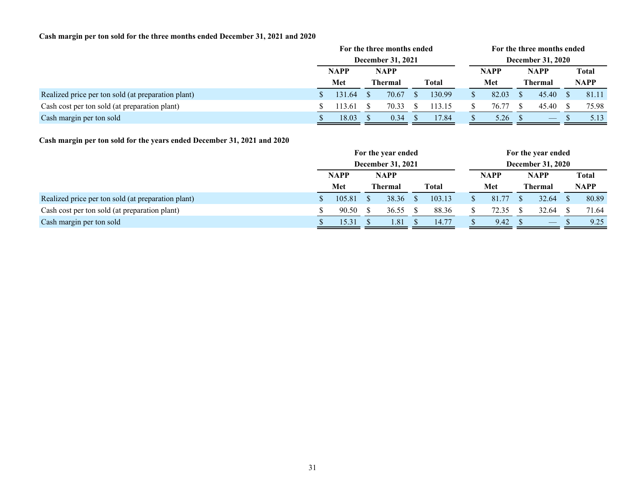# **Cash margin per ton sold for the three months ended December 31, 2021 and 2020**

|                                                    | For the three months ended |        |  |                |  |                          | For the three months ended |  |                                |  |             |  |  |
|----------------------------------------------------|----------------------------|--------|--|----------------|--|--------------------------|----------------------------|--|--------------------------------|--|-------------|--|--|
|                                                    | <b>December 31, 2021</b>   |        |  |                |  | <b>December 31, 2020</b> |                            |  |                                |  |             |  |  |
|                                                    | <b>NAPP</b>                |        |  | <b>NAPP</b>    |  |                          | <b>NAPP</b>                |  | <b>NAPP</b>                    |  | Total       |  |  |
|                                                    |                            | Met    |  | <b>Thermal</b> |  | <b>Total</b>             | Met                        |  | <b>Thermal</b>                 |  | <b>NAPP</b> |  |  |
| Realized price per ton sold (at preparation plant) |                            | 131.64 |  | 70.67          |  | 130.99                   | 82.03                      |  | 45.40                          |  | 81.11       |  |  |
| Cash cost per ton sold (at preparation plant)      |                            | 13.61  |  | 70.33          |  | 113.15                   | 76.77                      |  | 45.40                          |  | 75.98       |  |  |
| Cash margin per ton sold                           |                            | 18.03  |  | 0.34           |  | 17.84                    | 5.26                       |  | $\overbrace{\hspace{25mm}}^{}$ |  | 5.13        |  |  |

# **Cash margin per ton sold for the years ended December 31, 2021 and 2020**

|                                                    | For the year ended |  |                |  |              |             | For the year ended |                          |                          |  |             |  |  |
|----------------------------------------------------|--------------------|--|----------------|--|--------------|-------------|--------------------|--------------------------|--------------------------|--|-------------|--|--|
|                                                    | December 31, 2021  |  |                |  |              |             |                    | <b>December 31, 2020</b> |                          |  |             |  |  |
|                                                    | <b>NAPP</b>        |  | <b>NAPP</b>    |  |              | <b>NAPP</b> | <b>NAPP</b>        |                          | <b>Total</b>             |  |             |  |  |
|                                                    | Met                |  | <b>Thermal</b> |  | <b>Total</b> |             | Met                |                          | <b>Thermal</b>           |  | <b>NAPP</b> |  |  |
| Realized price per ton sold (at preparation plant) | 105.81             |  | 38.36          |  | 103.13       |             | 81.77              |                          | 32.64                    |  | 80.89       |  |  |
| Cash cost per ton sold (at preparation plant)      | 90.50              |  | 36.55          |  | 88.36        |             | 72.35              |                          | 32.64                    |  | 71.64       |  |  |
| Cash margin per ton sold                           | 15.31              |  | 1.81           |  | 14.77        |             | 9.42               |                          | $\qquad \qquad - \qquad$ |  | 9.25        |  |  |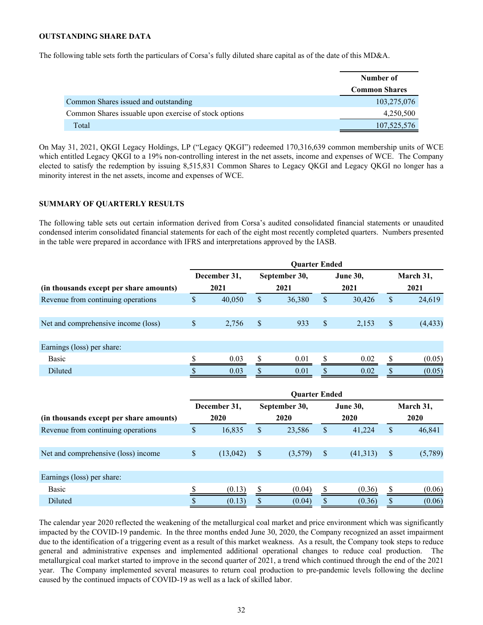#### <span id="page-31-0"></span>**OUTSTANDING SHARE DATA**

The following table sets forth the particulars of Corsa's fully diluted share capital as of the date of this MD&A.

|                                                        | Number of            |
|--------------------------------------------------------|----------------------|
|                                                        | <b>Common Shares</b> |
| Common Shares issued and outstanding                   | 103,275,076          |
| Common Shares is suable upon exercise of stock options | 4,250,500            |
| Total                                                  | 107,525,576          |

On May 31, 2021, QKGI Legacy Holdings, LP ("Legacy QKGI") redeemed 170,316,639 common membership units of WCE which entitled Legacy QKGI to a 19% non-controlling interest in the net assets, income and expenses of WCE. The Company elected to satisfy the redemption by issuing 8,515,831 Common Shares to Legacy QKGI and Legacy QKGI no longer has a minority interest in the net assets, income and expenses of WCE.

#### **SUMMARY OF QUARTERLY RESULTS**

The following table sets out certain information derived from Corsa's audited consolidated financial statements or unaudited condensed interim consolidated financial statements for each of the eight most recently completed quarters. Numbers presented in the table were prepared in accordance with IFRS and interpretations approved by the IASB.

|                                         | <b>Ouarter Ended</b> |              |      |               |    |                 |    |           |  |      |  |
|-----------------------------------------|----------------------|--------------|------|---------------|----|-----------------|----|-----------|--|------|--|
|                                         |                      | December 31, |      | September 30, |    | <b>June 30,</b> |    | March 31, |  |      |  |
| (in thousands except per share amounts) |                      | 2021         | 2021 |               |    |                 |    | 2021      |  | 2021 |  |
| Revenue from continuing operations      | \$                   | 40,050       | S    | 36,380        | \$ | 30,426          | S  | 24,619    |  |      |  |
|                                         |                      |              |      |               |    |                 |    |           |  |      |  |
| Net and comprehensive income (loss)     | \$                   | 2,756        | S    | 933           | \$ | 2,153           | \$ | (4, 433)  |  |      |  |
|                                         |                      |              |      |               |    |                 |    |           |  |      |  |
| Earnings (loss) per share:              |                      |              |      |               |    |                 |    |           |  |      |  |
| Basic                                   |                      | 0.03         |      | 0.01          |    | 0.02            |    | (0.05)    |  |      |  |
| Diluted                                 |                      | 0.03         |      | 0.01          |    | 0.02            |    | (0.05)    |  |      |  |
|                                         |                      |              |      |               |    |                 |    |           |  |      |  |

|                                         | <b>Quarter Ended</b> |              |      |               |    |                 |   |           |  |  |  |
|-----------------------------------------|----------------------|--------------|------|---------------|----|-----------------|---|-----------|--|--|--|
|                                         |                      | December 31, |      | September 30, |    | <b>June 30,</b> |   | March 31, |  |  |  |
| (in thousands except per share amounts) |                      | 2020         | 2020 |               |    | 2020            |   | 2020      |  |  |  |
| Revenue from continuing operations      | \$                   | 16,835       | \$   | 23,586        | \$ | 41,224          | S | 46,841    |  |  |  |
|                                         |                      |              |      |               |    |                 |   |           |  |  |  |
| Net and comprehensive (loss) income     | \$                   | (13, 042)    | S    | (3,579)       | \$ | (41,313)        |   | (5,789)   |  |  |  |
|                                         |                      |              |      |               |    |                 |   |           |  |  |  |
| Earnings (loss) per share:              |                      |              |      |               |    |                 |   |           |  |  |  |
| Basic                                   |                      | (0.13)       |      | (0.04)        |    | (0.36)          |   | (0.06)    |  |  |  |
| Diluted                                 |                      | (0.13)       |      | (0.04)        |    | (0.36)          |   | (0.06)    |  |  |  |

The calendar year 2020 reflected the weakening of the metallurgical coal market and price environment which was significantly impacted by the COVID-19 pandemic. In the three months ended June 30, 2020, the Company recognized an asset impairment due to the identification of a triggering event as a result of this market weakness. As a result, the Company took steps to reduce general and administrative expenses and implemented additional operational changes to reduce coal production. The metallurgical coal market started to improve in the second quarter of 2021, a trend which continued through the end of the 2021 year. The Company implemented several measures to return coal production to pre-pandemic levels following the decline caused by the continued impacts of COVID-19 as well as a lack of skilled labor.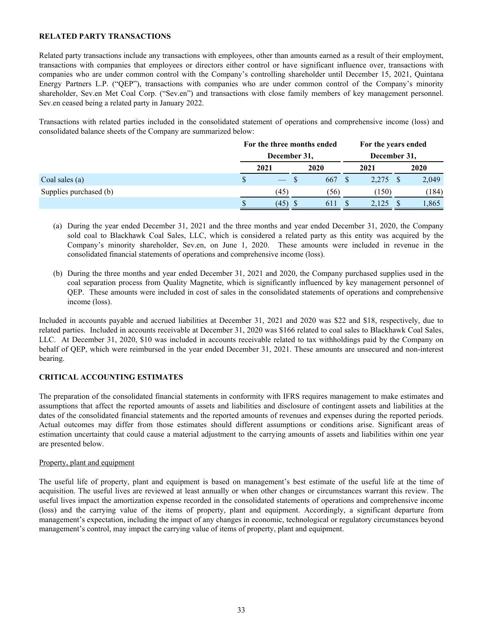#### <span id="page-32-0"></span>**RELATED PARTY TRANSACTIONS**

Related party transactions include any transactions with employees, other than amounts earned as a result of their employment, transactions with companies that employees or directors either control or have significant influence over, transactions with companies who are under common control with the Company's controlling shareholder until December 15, 2021, Quintana Energy Partners L.P. ("QEP"), transactions with companies who are under common control of the Company's minority shareholder, Sev.en Met Coal Corp. ("Sev.en") and transactions with close family members of key management personnel. Sev.en ceased being a related party in January 2022.

Transactions with related parties included in the consolidated statement of operations and comprehensive income (loss) and consolidated balance sheets of the Company are summarized below:

|                        | For the three months ended |  | For the years ended |              |       |  |       |  |
|------------------------|----------------------------|--|---------------------|--------------|-------|--|-------|--|
|                        | December 31,               |  |                     | December 31, |       |  |       |  |
|                        | 2021                       |  | 2020                |              | 2021  |  | 2020  |  |
| Coal sales (a)         |                            |  | 667                 |              | 2.275 |  | 2,049 |  |
| Supplies purchased (b) | (45)                       |  | (56)                |              | (150) |  | (184) |  |
|                        | (45)                       |  | 611                 |              | 2,125 |  | 1,865 |  |

- (a) During the year ended December 31, 2021 and the three months and year ended December 31, 2020, the Company sold coal to Blackhawk Coal Sales, LLC, which is considered a related party as this entity was acquired by the Company's minority shareholder, Sev.en, on June 1, 2020. These amounts were included in revenue in the consolidated financial statements of operations and comprehensive income (loss).
- (b) During the three months and year ended December 31, 2021 and 2020, the Company purchased supplies used in the coal separation process from Quality Magnetite, which is significantly influenced by key management personnel of QEP. These amounts were included in cost of sales in the consolidated statements of operations and comprehensive income (loss).

Included in accounts payable and accrued liabilities at December 31, 2021 and 2020 was \$22 and \$18, respectively, due to related parties. Included in accounts receivable at December 31, 2020 was \$166 related to coal sales to Blackhawk Coal Sales, LLC. At December 31, 2020, \$10 was included in accounts receivable related to tax withholdings paid by the Company on behalf of QEP, which were reimbursed in the year ended December 31, 2021. These amounts are unsecured and non-interest bearing.

## **CRITICAL ACCOUNTING ESTIMATES**

The preparation of the consolidated financial statements in conformity with IFRS requires management to make estimates and assumptions that affect the reported amounts of assets and liabilities and disclosure of contingent assets and liabilities at the dates of the consolidated financial statements and the reported amounts of revenues and expenses during the reported periods. Actual outcomes may differ from those estimates should different assumptions or conditions arise. Significant areas of estimation uncertainty that could cause a material adjustment to the carrying amounts of assets and liabilities within one year are presented below.

## Property, plant and equipment

The useful life of property, plant and equipment is based on management's best estimate of the useful life at the time of acquisition. The useful lives are reviewed at least annually or when other changes or circumstances warrant this review. The useful lives impact the amortization expense recorded in the consolidated statements of operations and comprehensive income (loss) and the carrying value of the items of property, plant and equipment. Accordingly, a significant departure from management's expectation, including the impact of any changes in economic, technological or regulatory circumstances beyond management's control, may impact the carrying value of items of property, plant and equipment.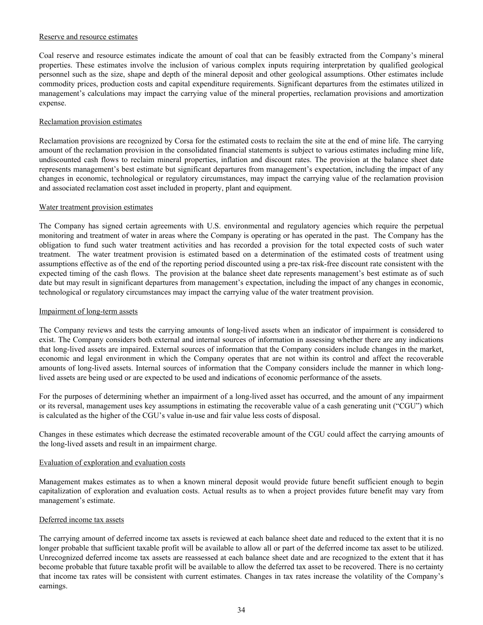#### Reserve and resource estimates

Coal reserve and resource estimates indicate the amount of coal that can be feasibly extracted from the Company's mineral properties. These estimates involve the inclusion of various complex inputs requiring interpretation by qualified geological personnel such as the size, shape and depth of the mineral deposit and other geological assumptions. Other estimates include commodity prices, production costs and capital expenditure requirements. Significant departures from the estimates utilized in management's calculations may impact the carrying value of the mineral properties, reclamation provisions and amortization expense.

## Reclamation provision estimates

Reclamation provisions are recognized by Corsa for the estimated costs to reclaim the site at the end of mine life. The carrying amount of the reclamation provision in the consolidated financial statements is subject to various estimates including mine life, undiscounted cash flows to reclaim mineral properties, inflation and discount rates. The provision at the balance sheet date represents management's best estimate but significant departures from management's expectation, including the impact of any changes in economic, technological or regulatory circumstances, may impact the carrying value of the reclamation provision and associated reclamation cost asset included in property, plant and equipment.

#### Water treatment provision estimates

The Company has signed certain agreements with U.S. environmental and regulatory agencies which require the perpetual monitoring and treatment of water in areas where the Company is operating or has operated in the past. The Company has the obligation to fund such water treatment activities and has recorded a provision for the total expected costs of such water treatment. The water treatment provision is estimated based on a determination of the estimated costs of treatment using assumptions effective as of the end of the reporting period discounted using a pre-tax risk-free discount rate consistent with the expected timing of the cash flows. The provision at the balance sheet date represents management's best estimate as of such date but may result in significant departures from management's expectation, including the impact of any changes in economic, technological or regulatory circumstances may impact the carrying value of the water treatment provision.

#### Impairment of long-term assets

The Company reviews and tests the carrying amounts of long-lived assets when an indicator of impairment is considered to exist. The Company considers both external and internal sources of information in assessing whether there are any indications that long-lived assets are impaired. External sources of information that the Company considers include changes in the market, economic and legal environment in which the Company operates that are not within its control and affect the recoverable amounts of long-lived assets. Internal sources of information that the Company considers include the manner in which longlived assets are being used or are expected to be used and indications of economic performance of the assets.

For the purposes of determining whether an impairment of a long-lived asset has occurred, and the amount of any impairment or its reversal, management uses key assumptions in estimating the recoverable value of a cash generating unit ("CGU") which is calculated as the higher of the CGU's value in-use and fair value less costs of disposal.

Changes in these estimates which decrease the estimated recoverable amount of the CGU could affect the carrying amounts of the long-lived assets and result in an impairment charge.

## Evaluation of exploration and evaluation costs

Management makes estimates as to when a known mineral deposit would provide future benefit sufficient enough to begin capitalization of exploration and evaluation costs. Actual results as to when a project provides future benefit may vary from management's estimate.

#### Deferred income tax assets

The carrying amount of deferred income tax assets is reviewed at each balance sheet date and reduced to the extent that it is no longer probable that sufficient taxable profit will be available to allow all or part of the deferred income tax asset to be utilized. Unrecognized deferred income tax assets are reassessed at each balance sheet date and are recognized to the extent that it has become probable that future taxable profit will be available to allow the deferred tax asset to be recovered. There is no certainty that income tax rates will be consistent with current estimates. Changes in tax rates increase the volatility of the Company's earnings.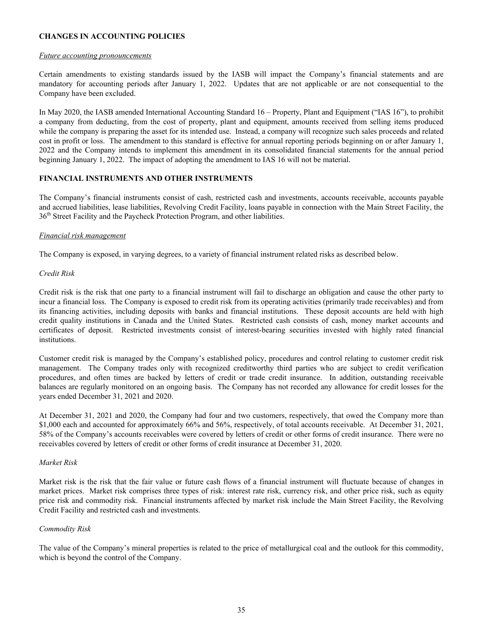# <span id="page-34-0"></span>**CHANGES IN ACCOUNTING POLICIES**

#### *Future accounting pronouncements*

Certain amendments to existing standards issued by the IASB will impact the Company's financial statements and are mandatory for accounting periods after January 1, 2022. Updates that are not applicable or are not consequential to the Company have been excluded.

In May 2020, the IASB amended International Accounting Standard 16 – Property, Plant and Equipment ("IAS 16"), to prohibit a company from deducting, from the cost of property, plant and equipment, amounts received from selling items produced while the company is preparing the asset for its intended use. Instead, a company will recognize such sales proceeds and related cost in profit or loss. The amendment to this standard is effective for annual reporting periods beginning on or after January 1, 2022 and the Company intends to implement this amendment in its consolidated financial statements for the annual period beginning January 1, 2022. The impact of adopting the amendment to IAS 16 will not be material.

# **FINANCIAL INSTRUMENTS AND OTHER INSTRUMENTS**

The Company's financial instruments consist of cash, restricted cash and investments, accounts receivable, accounts payable and accrued liabilities, lease liabilities, Revolving Credit Facility, loans payable in connection with the Main Street Facility, the 36<sup>th</sup> Street Facility and the Paycheck Protection Program, and other liabilities.

## *Financial risk management*

The Company is exposed, in varying degrees, to a variety of financial instrument related risks as described below.

## *Credit Risk*

Credit risk is the risk that one party to a financial instrument will fail to discharge an obligation and cause the other party to incur a financial loss. The Company is exposed to credit risk from its operating activities (primarily trade receivables) and from its financing activities, including deposits with banks and financial institutions. These deposit accounts are held with high credit quality institutions in Canada and the United States. Restricted cash consists of cash, money market accounts and certificates of deposit. Restricted investments consist of interest-bearing securities invested with highly rated financial institutions.

Customer credit risk is managed by the Company's established policy, procedures and control relating to customer credit risk management. The Company trades only with recognized creditworthy third parties who are subject to credit verification procedures, and often times are backed by letters of credit or trade credit insurance. In addition, outstanding receivable balances are regularly monitored on an ongoing basis. The Company has not recorded any allowance for credit losses for the years ended December 31, 2021 and 2020.

At December 31, 2021 and 2020, the Company had four and two customers, respectively, that owed the Company more than \$1,000 each and accounted for approximately 66% and 56%, respectively, of total accounts receivable. At December 31, 2021, 58% of the Company's accounts receivables were covered by letters of credit or other forms of credit insurance. There were no receivables covered by letters of credit or other forms of credit insurance at December 31, 2020.

## *Market Risk*

Market risk is the risk that the fair value or future cash flows of a financial instrument will fluctuate because of changes in market prices. Market risk comprises three types of risk: interest rate risk, currency risk, and other price risk, such as equity price risk and commodity risk. Financial instruments affected by market risk include the Main Street Facility, the Revolving Credit Facility and restricted cash and investments.

## *Commodity Risk*

The value of the Company's mineral properties is related to the price of metallurgical coal and the outlook for this commodity, which is beyond the control of the Company.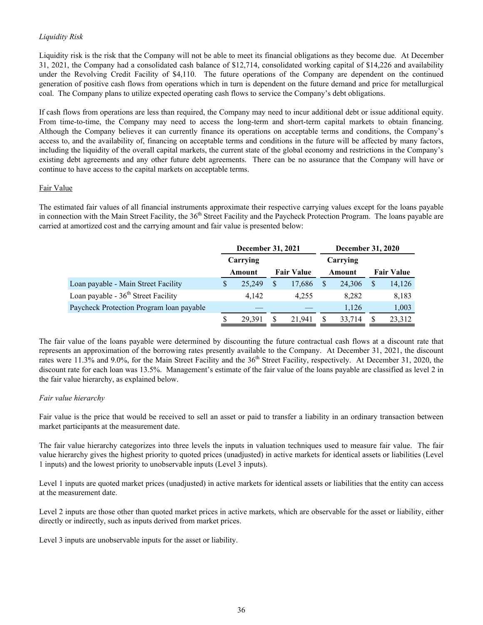# *Liquidity Risk*

Liquidity risk is the risk that the Company will not be able to meet its financial obligations as they become due. At December 31, 2021, the Company had a consolidated cash balance of \$12,714, consolidated working capital of \$14,226 and availability under the Revolving Credit Facility of \$4,110. The future operations of the Company are dependent on the continued generation of positive cash flows from operations which in turn is dependent on the future demand and price for metallurgical coal. The Company plans to utilize expected operating cash flows to service the Company's debt obligations.

If cash flows from operations are less than required, the Company may need to incur additional debt or issue additional equity. From time-to-time, the Company may need to access the long-term and short-term capital markets to obtain financing. Although the Company believes it can currently finance its operations on acceptable terms and conditions, the Company's access to, and the availability of, financing on acceptable terms and conditions in the future will be affected by many factors, including the liquidity of the overall capital markets, the current state of the global economy and restrictions in the Company's existing debt agreements and any other future debt agreements. There can be no assurance that the Company will have or continue to have access to the capital markets on acceptable terms.

## Fair Value

The estimated fair values of all financial instruments approximate their respective carrying values except for the loans payable in connection with the Main Street Facility, the 36<sup>th</sup> Street Facility and the Paycheck Protection Program. The loans payable are carried at amortized cost and the carrying amount and fair value is presented below:

|                                          |   | December 31, 2021           |   |        |  |          | <b>December 31, 2020</b> |                   |  |  |
|------------------------------------------|---|-----------------------------|---|--------|--|----------|--------------------------|-------------------|--|--|
|                                          |   | Carrying                    |   |        |  | Carrying |                          |                   |  |  |
|                                          |   | <b>Fair Value</b><br>Amount |   |        |  | Amount   |                          | <b>Fair Value</b> |  |  |
| Loan payable - Main Street Facility      | S | 25.249                      | S | 17,686 |  | 24.306   | <sup>S</sup>             | 14,126            |  |  |
| Loan payable - $36th$ Street Facility    |   | 4.142                       |   | 4.255  |  | 8.282    |                          | 8,183             |  |  |
| Paycheck Protection Program loan payable |   |                             |   |        |  | 1,126    |                          | 1,003             |  |  |
|                                          |   | 29.391                      | S | 21.941 |  | 33,714   |                          | 23,312            |  |  |

The fair value of the loans payable were determined by discounting the future contractual cash flows at a discount rate that represents an approximation of the borrowing rates presently available to the Company. At December 31, 2021, the discount rates were 11.3% and 9.0%, for the Main Street Facility and the 36<sup>th</sup> Street Facility, respectively. At December 31, 2020, the discount rate for each loan was 13.5%. Management's estimate of the fair value of the loans payable are classified as level 2 in the fair value hierarchy, as explained below.

## *Fair value hierarchy*

Fair value is the price that would be received to sell an asset or paid to transfer a liability in an ordinary transaction between market participants at the measurement date.

The fair value hierarchy categorizes into three levels the inputs in valuation techniques used to measure fair value. The fair value hierarchy gives the highest priority to quoted prices (unadjusted) in active markets for identical assets or liabilities (Level 1 inputs) and the lowest priority to unobservable inputs (Level 3 inputs).

Level 1 inputs are quoted market prices (unadjusted) in active markets for identical assets or liabilities that the entity can access at the measurement date.

Level 2 inputs are those other than quoted market prices in active markets, which are observable for the asset or liability, either directly or indirectly, such as inputs derived from market prices.

Level 3 inputs are unobservable inputs for the asset or liability.